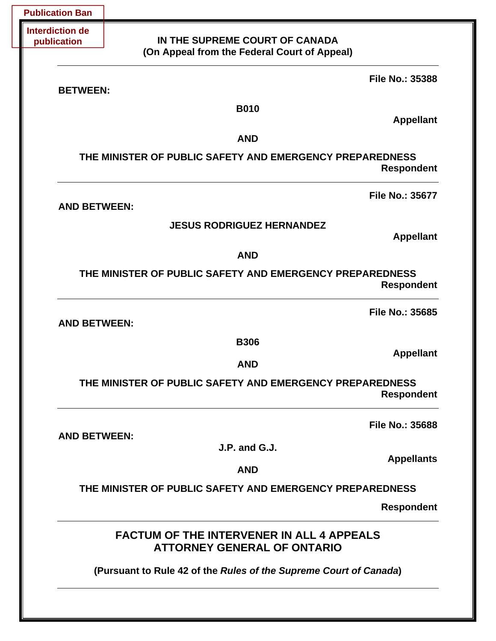|                        |                                                                                        | <b>Publication Ban</b>                |
|------------------------|----------------------------------------------------------------------------------------|---------------------------------------|
|                        | IN THE SUPREME COURT OF CANADA<br>(On Appeal from the Federal Court of Appeal)         | <b>Interdiction de</b><br>publication |
| <b>File No.: 35388</b> |                                                                                        | <b>BETWEEN:</b>                       |
| <b>Appellant</b>       | <b>B010</b>                                                                            |                                       |
|                        | <b>AND</b>                                                                             |                                       |
| <b>Respondent</b>      | THE MINISTER OF PUBLIC SAFETY AND EMERGENCY PREPAREDNESS                               |                                       |
| <b>File No.: 35677</b> |                                                                                        | <b>AND BETWEEN:</b>                   |
| <b>Appellant</b>       | <b>JESUS RODRIGUEZ HERNANDEZ</b>                                                       |                                       |
|                        | <b>AND</b>                                                                             |                                       |
| <b>Respondent</b>      | THE MINISTER OF PUBLIC SAFETY AND EMERGENCY PREPAREDNESS                               |                                       |
| <b>File No.: 35685</b> |                                                                                        | <b>AND BETWEEN:</b>                   |
|                        | <b>B306</b>                                                                            |                                       |
| <b>Appellant</b>       | <b>AND</b>                                                                             |                                       |
| <b>Respondent</b>      | THE MINISTER OF PUBLIC SAFETY AND EMERGENCY PREPAREDNESS                               |                                       |
| <b>File No.: 35688</b> |                                                                                        | <b>AND BETWEEN:</b>                   |
|                        | J.P. and G.J.                                                                          |                                       |
| <b>Appellants</b>      | <b>AND</b>                                                                             |                                       |
|                        | THE MINISTER OF PUBLIC SAFETY AND EMERGENCY PREPAREDNESS                               |                                       |
| <b>Respondent</b>      |                                                                                        |                                       |
|                        | <b>FACTUM OF THE INTERVENER IN ALL 4 APPEALS</b><br><b>ATTORNEY GENERAL OF ONTARIO</b> |                                       |
|                        | (Pursuant to Rule 42 of the Rules of the Supreme Court of Canada)                      |                                       |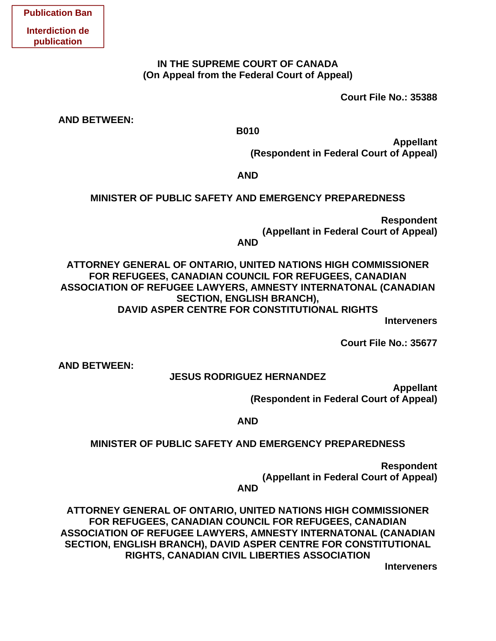## **IN THE SUPREME COURT OF CANADA (On Appeal from the Federal Court of Appeal)**

**Court File No.: 35388** 

**AND BETWEEN:** 

**B010** 

**Appellant (Respondent in Federal Court of Appeal)** 

**AND** 

## **MINISTER OF PUBLIC SAFETY AND EMERGENCY PREPAREDNESS**

**Respondent (Appellant in Federal Court of Appeal)** 

**AND** 

**ATTORNEY GENERAL OF ONTARIO, UNITED NATIONS HIGH COMMISSIONER FOR REFUGEES, CANADIAN COUNCIL FOR REFUGEES, CANADIAN ASSOCIATION OF REFUGEE LAWYERS, AMNESTY INTERNATONAL (CANADIAN SECTION, ENGLISH BRANCH), DAVID ASPER CENTRE FOR CONSTITUTIONAL RIGHTS** 

**Interveners** 

**Court File No.: 35677** 

**AND BETWEEN:** 

**JESUS RODRIGUEZ HERNANDEZ** 

**Appellant (Respondent in Federal Court of Appeal)** 

**AND** 

## **MINISTER OF PUBLIC SAFETY AND EMERGENCY PREPAREDNESS**

**Respondent (Appellant in Federal Court of Appeal)** 

**AND** 

**ATTORNEY GENERAL OF ONTARIO, UNITED NATIONS HIGH COMMISSIONER FOR REFUGEES, CANADIAN COUNCIL FOR REFUGEES, CANADIAN ASSOCIATION OF REFUGEE LAWYERS, AMNESTY INTERNATONAL (CANADIAN SECTION, ENGLISH BRANCH), DAVID ASPER CENTRE FOR CONSTITUTIONAL RIGHTS, CANADIAN CIVIL LIBERTIES ASSOCIATION** 

**Interveners**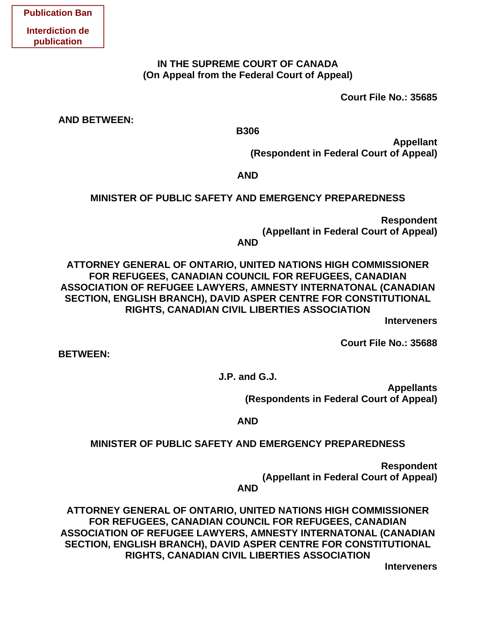## **IN THE SUPREME COURT OF CANADA (On Appeal from the Federal Court of Appeal)**

**Court File No.: 35685** 

**AND BETWEEN:** 

**B306** 

**Appellant (Respondent in Federal Court of Appeal)** 

**AND** 

## **MINISTER OF PUBLIC SAFETY AND EMERGENCY PREPAREDNESS**

**Respondent (Appellant in Federal Court of Appeal)** 

**AND** 

**ATTORNEY GENERAL OF ONTARIO, UNITED NATIONS HIGH COMMISSIONER FOR REFUGEES, CANADIAN COUNCIL FOR REFUGEES, CANADIAN ASSOCIATION OF REFUGEE LAWYERS, AMNESTY INTERNATONAL (CANADIAN SECTION, ENGLISH BRANCH), DAVID ASPER CENTRE FOR CONSTITUTIONAL RIGHTS, CANADIAN CIVIL LIBERTIES ASSOCIATION** 

**Interveners**

**Court File No.: 35688** 

**BETWEEN:** 

**J.P. and G.J.** 

**Appellants (Respondents in Federal Court of Appeal)** 

**AND** 

## **MINISTER OF PUBLIC SAFETY AND EMERGENCY PREPAREDNESS**

**Respondent (Appellant in Federal Court of Appeal)** 

**AND** 

**ATTORNEY GENERAL OF ONTARIO, UNITED NATIONS HIGH COMMISSIONER FOR REFUGEES, CANADIAN COUNCIL FOR REFUGEES, CANADIAN ASSOCIATION OF REFUGEE LAWYERS, AMNESTY INTERNATONAL (CANADIAN SECTION, ENGLISH BRANCH), DAVID ASPER CENTRE FOR CONSTITUTIONAL RIGHTS, CANADIAN CIVIL LIBERTIES ASSOCIATION** 

**Interveners**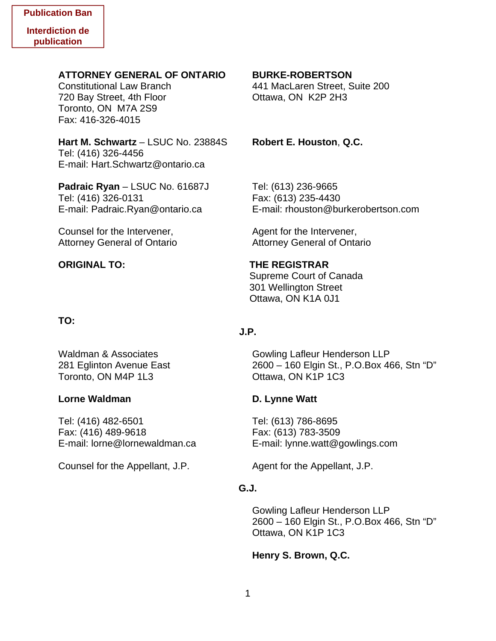#### **Publication Ban**

**Interdiction de publication**

#### **ATTORNEY GENERAL OF ONTARIO**

Constitutional Law Branch 720 Bay Street, 4th Floor Toronto, ON M7A 2S9 Fax: 416-326-4015

**Hart M. Schwartz** – LSUC No. 23884S Tel: (416) 326-4456 E-mail: Hart.Schwartz@ontario.ca

**Padraic Ryan** – LSUC No. 61687J Tel: (416) 326-0131 E-mail: Padraic.Ryan@ontario.ca

Counsel for the Intervener, Attorney General of Ontario

## **TO:**

Waldman & Associates 281 Eglinton Avenue East Toronto, ON M4P 1L3

## **Lorne Waldman**

Tel: (416) 482-6501 Fax: (416) 489-9618 E-mail: lorne@lornewaldman.ca

Counsel for the Appellant, J.P.

#### **BURKE-ROBERTSON**

441 MacLaren Street, Suite 200 Ottawa, ON K2P 2H3

#### **Robert E. Houston**, **Q.C.**

Tel: (613) 236-9665 Fax: (613) 235-4430 E-mail: rhouston@burkerobertson.com

Agent for the Intervener, Attorney General of Ontario

**ORIGINAL TO: THE REGISTRAR**  Supreme Court of Canada 301 Wellington Street Ottawa, ON K1A 0J1

#### **J.P.**

Gowling Lafleur Henderson LLP 2600 – 160 Elgin St., P.O.Box 466, Stn "D" Ottawa, ON K1P 1C3

#### **D. Lynne Watt**

Tel: (613) 786-8695 Fax: (613) 783-3509 E-mail: lynne.watt@gowlings.com

Agent for the Appellant, J.P.

## **G.J.**

 Gowling Lafleur Henderson LLP 2600 – 160 Elgin St., P.O.Box 466, Stn "D" Ottawa, ON K1P 1C3

#### **Henry S. Brown, Q.C.**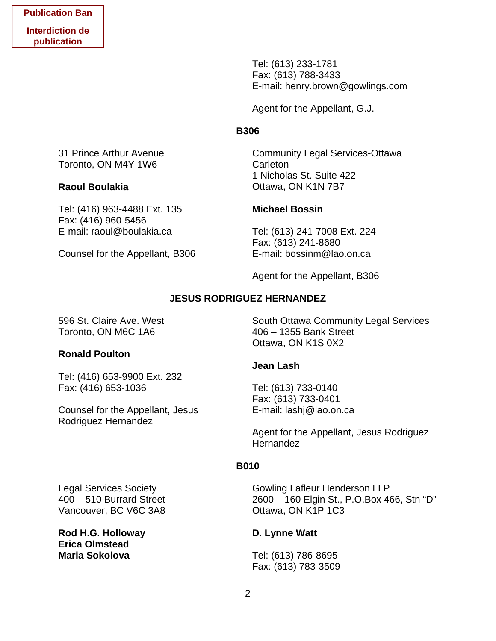#### **Publication Ban**

#### **Interdiction de publication**

Tel: (613) 233-1781 Fax: (613) 788-3433 E-mail: henry.brown@gowlings.com

Agent for the Appellant, G.J.

#### **B306**

Community Legal Services-Ottawa **Carleton** 1 Nicholas St. Suite 422 Ottawa, ON K1N 7B7

## **Michael Bossin**

Tel: (613) 241-7008 Ext. 224 Fax: (613) 241-8680 E-mail: bossinm@lao.on.ca

Agent for the Appellant, B306

## **JESUS RODRIGUEZ HERNANDEZ**

596 St. Claire Ave. West Toronto, ON M6C 1A6

31 Prince Arthur Avenue Toronto, ON M4Y 1W6

Tel: (416) 963-4488 Ext. 135

Counsel for the Appellant, B306

E-mail: raoul@boulakia.ca

**Raoul Boulakia** 

Fax: (416) 960-5456

#### **Ronald Poulton**

Tel: (416) 653-9900 Ext. 232 Fax: (416) 653-1036

Counsel for the Appellant, Jesus Rodriguez Hernandez

South Ottawa Community Legal Services 406 – 1355 Bank Street Ottawa, ON K1S 0X2

#### **Jean Lash**

Tel: (613) 733-0140 Fax: (613) 733-0401 E-mail: lashj@lao.on.ca

Agent for the Appellant, Jesus Rodriguez Hernandez

#### **B010**

Legal Services Society 400 – 510 Burrard Street Vancouver, BC V6C 3A8

**Rod H.G. Holloway Erica Olmstead Maria Sokolova** 

Gowling Lafleur Henderson LLP 2600 – 160 Elgin St., P.O.Box 466, Stn "D" Ottawa, ON K1P 1C3

#### **D. Lynne Watt**

Tel: (613) 786-8695 Fax: (613) 783-3509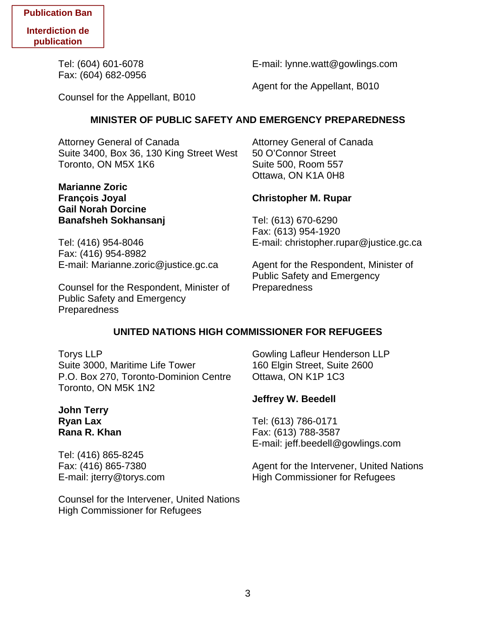> Tel: (604) 601-6078 Fax: (604) 682-0956

E-mail: lynne.watt@gowlings.com

Agent for the Appellant, B010

Counsel for the Appellant, B010

# **MINISTER OF PUBLIC SAFETY AND EMERGENCY PREPAREDNESS**

Attorney General of Canada Suite 3400, Box 36, 130 King Street West Toronto, ON M5X 1K6

## **Marianne Zoric François Joyal Gail Norah Dorcine Banafsheh Sokhansanj**

Attorney General of Canada 50 O'Connor Street Suite 500, Room 557 Ottawa, ON K1A 0H8

# **Christopher M. Rupar**

Tel: (613) 670-6290 Fax: (613) 954-1920 E-mail: christopher.rupar@justice.gc.ca

Tel: (416) 954-8046 Fax: (416) 954-8982 E-mail: Marianne.zoric@justice.gc.ca

Counsel for the Respondent, Minister of Public Safety and Emergency **Preparedness** 

Agent for the Respondent, Minister of Public Safety and Emergency Preparedness

# **UNITED NATIONS HIGH COMMISSIONER FOR REFUGEES**

Torys LLP Suite 3000, Maritime Life Tower P.O. Box 270, Toronto-Dominion Centre Toronto, ON M5K 1N2

**John Terry Ryan Lax Rana R. Khan** 

Tel: (416) 865-8245 Fax: (416) 865-7380 E-mail: jterry@torys.com

Counsel for the Intervener, United Nations High Commissioner for Refugees

Gowling Lafleur Henderson LLP 160 Elgin Street, Suite 2600 Ottawa, ON K1P 1C3

# **Jeffrey W. Beedell**

Tel: (613) 786-0171 Fax: (613) 788-3587 E-mail: jeff.beedell@gowlings.com

Agent for the Intervener, United Nations High Commissioner for Refugees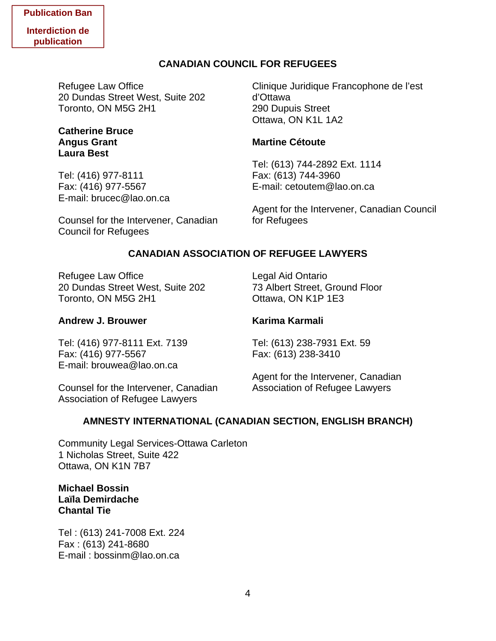#### **Publication Ban**

#### **Interdiction de publication**

# **CANADIAN COUNCIL FOR REFUGEES**

Refugee Law Office 20 Dundas Street West, Suite 202 Toronto, ON M5G 2H1

## **Catherine Bruce Angus Grant Laura Best**

Tel: (416) 977-8111 Fax: (416) 977-5567 E-mail: brucec@lao.on.ca

Counsel for the Intervener, Canadian Council for Refugees

Clinique Juridique Francophone de l'est d'Ottawa 290 Dupuis Street Ottawa, ON K1L 1A2

## **Martine Cétoute**

Tel: (613) 744-2892 Ext. 1114 Fax: (613) 744-3960 E-mail: cetoutem@lao.on.ca

Agent for the Intervener, Canadian Council for Refugees

## **CANADIAN ASSOCIATION OF REFUGEE LAWYERS**

Refugee Law Office 20 Dundas Street West, Suite 202 Toronto, ON M5G 2H1

## **Andrew J. Brouwer**

Tel: (416) 977-8111 Ext. 7139 Fax: (416) 977-5567 E-mail: brouwea@lao.on.ca

Counsel for the Intervener, Canadian Association of Refugee Lawyers

73 Albert Street, Ground Floor Ottawa, ON K1P 1E3

## **Karima Karmali**

Legal Aid Ontario

Tel: (613) 238-7931 Ext. 59 Fax: (613) 238-3410

Agent for the Intervener, Canadian Association of Refugee Lawyers

## **AMNESTY INTERNATIONAL (CANADIAN SECTION, ENGLISH BRANCH)**

Community Legal Services-Ottawa Carleton 1 Nicholas Street, Suite 422 Ottawa, ON K1N 7B7

**Michael Bossin Laïla Demirdache Chantal Tie** 

Tel : (613) 241-7008 Ext. 224 Fax : (613) 241-8680 E-mail : bossinm@lao.on.ca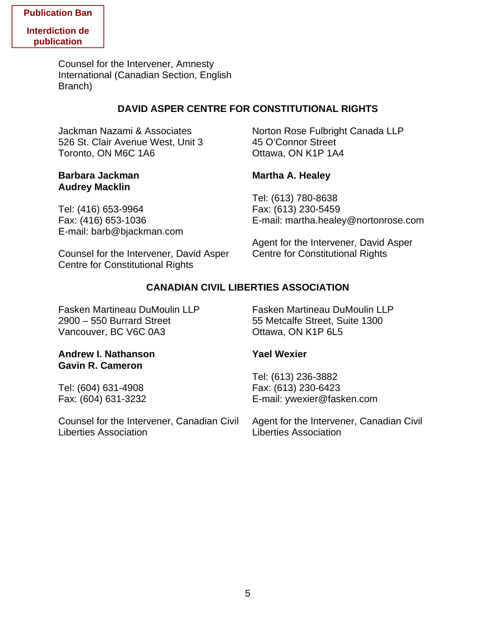#### **Publication Ban**

**Interdiction de publication**

> Counsel for the Intervener, Amnesty International (Canadian Section, English Branch)

## **DAVID ASPER CENTRE FOR CONSTITUTIONAL RIGHTS**

Jackman Nazami & Associates 526 St. Clair Avenue West, Unit 3 Toronto, ON M6C 1A6

## **Barbara Jackman Audrey Macklin**

Tel: (416) 653-9964 Fax: (416) 653-1036 E-mail: barb@bjackman.com

Centre for Constitutional Rights

Norton Rose Fulbright Canada LLP 45 O'Connor Street Ottawa, ON K1P 1A4

## **Martha A. Healey**

Tel: (613) 780-8638 Fax: (613) 230-5459 E-mail: martha.healey@nortonrose.com

Agent for the Intervener, David Asper Centre for Constitutional Rights

## **CANADIAN CIVIL LIBERTIES ASSOCIATION**

Fasken Martineau DuMoulin LLP 2900 – 550 Burrard Street Vancouver, BC V6C 0A3

Counsel for the Intervener, David Asper

Fasken Martineau DuMoulin LLP 55 Metcalfe Street, Suite 1300 Ottawa, ON K1P 6L5

## **Andrew I. Nathanson Gavin R. Cameron**

Tel: (604) 631-4908 Fax: (604) 631-3232

Counsel for the Intervener, Canadian Civil Liberties Association

#### **Yael Wexier**

Tel: (613) 236-3882 Fax: (613) 230-6423 E-mail: ywexier@fasken.com

Agent for the Intervener, Canadian Civil Liberties Association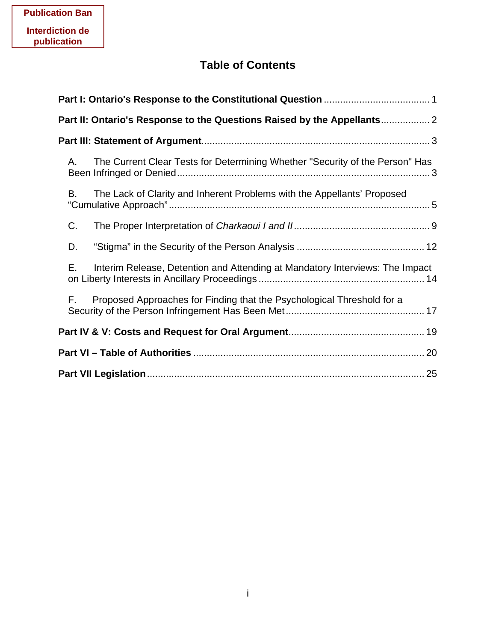# **Table of Contents**

| Part II: Ontario's Response to the Questions Raised by the Appellants              |  |  |
|------------------------------------------------------------------------------------|--|--|
|                                                                                    |  |  |
| The Current Clear Tests for Determining Whether "Security of the Person" Has<br>Α. |  |  |
| B.<br>The Lack of Clarity and Inherent Problems with the Appellants' Proposed      |  |  |
| C.                                                                                 |  |  |
| D.                                                                                 |  |  |
| Е.<br>Interim Release, Detention and Attending at Mandatory Interviews: The Impact |  |  |
| F.<br>Proposed Approaches for Finding that the Psychological Threshold for a       |  |  |
|                                                                                    |  |  |
|                                                                                    |  |  |
|                                                                                    |  |  |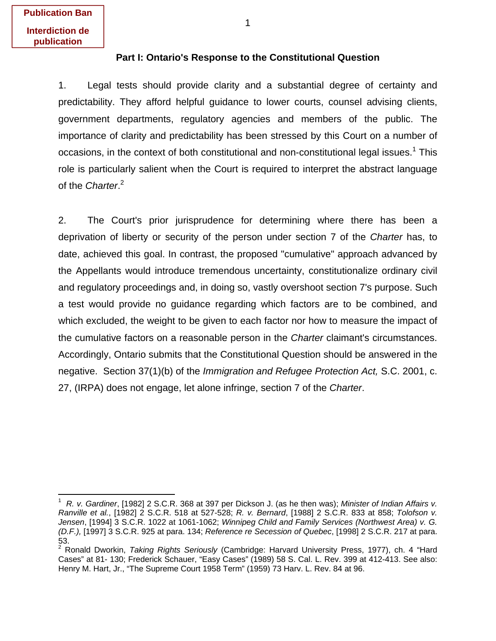**Publication Ban Interdiction de publication**

 $\overline{a}$ 

#### **Part I: Ontario's Response to the Constitutional Question**

1. Legal tests should provide clarity and a substantial degree of certainty and predictability. They afford helpful guidance to lower courts, counsel advising clients, government departments, regulatory agencies and members of the public. The importance of clarity and predictability has been stressed by this Court on a number of occasions, in the context of both constitutional and non-constitutional legal issues.<sup>1</sup> This role is particularly salient when the Court is required to interpret the abstract language of the *Charter*. 2

2. The Court's prior jurisprudence for determining where there has been a deprivation of liberty or security of the person under section 7 of the *Charter* has, to date, achieved this goal. In contrast, the proposed "cumulative" approach advanced by the Appellants would introduce tremendous uncertainty, constitutionalize ordinary civil and regulatory proceedings and, in doing so, vastly overshoot section 7's purpose. Such a test would provide no guidance regarding which factors are to be combined, and which excluded, the weight to be given to each factor nor how to measure the impact of the cumulative factors on a reasonable person in the *Charter* claimant's circumstances. Accordingly, Ontario submits that the Constitutional Question should be answered in the negative. Section 37(1)(b) of the *Immigration and Refugee Protection Act,* S.C. 2001, c. 27, (IRPA) does not engage, let alone infringe, section 7 of the *Charter*.

<sup>1</sup> *R. v. Gardiner*, [1982] 2 S.C.R. 368 at 397 per Dickson J. (as he then was); *Minister of Indian Affairs v. Ranville et al.*, [1982] 2 S.C.R. 518 at 527-528; *R. v. Bernard*, [1988] 2 S.C.R. 833 at 858; *Tolofson v. Jensen*, [1994] 3 S.C.R. 1022 at 1061-1062; *Winnipeg Child and Family Services (Northwest Area) v. G. (D.F.),* [1997] 3 S.C.R. 925 at para. 134; *Reference re Secession of Quebec*, [1998] 2 S.C.R. 217 at para.

<sup>53.</sup>  2 Ronald Dworkin, *Taking Rights Seriously* (Cambridge: Harvard University Press, 1977), ch. 4 "Hard Cases" at 81- 130; Frederick Schauer, "Easy Cases" (1989) 58 S. Cal. L. Rev. 399 at 412-413. See also: Henry M. Hart, Jr., "The Supreme Court 1958 Term" (1959) 73 Harv. L. Rev. 84 at 96.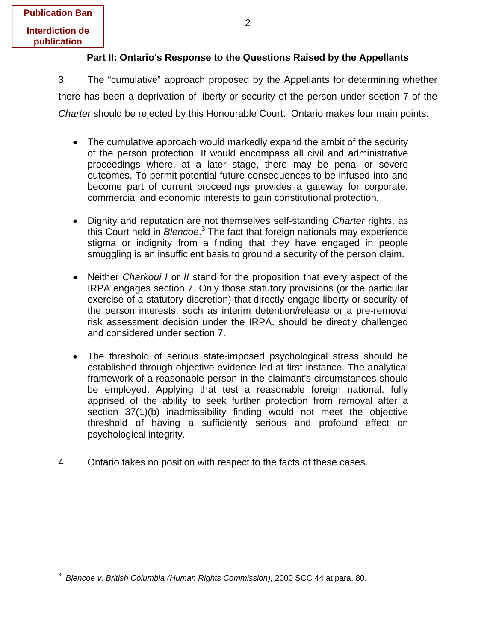| <b>Publication Ban</b> |
|------------------------|
| Interdiction de        |
| publication            |

 $\overline{a}$ 

## **Part II: Ontario's Response to the Questions Raised by the Appellants**

3. The "cumulative" approach proposed by the Appellants for determining whether there has been a deprivation of liberty or security of the person under section 7 of the *Charter* should be rejected by this Honourable Court. Ontario makes four main points:

- The cumulative approach would markedly expand the ambit of the security of the person protection. It would encompass all civil and administrative proceedings where, at a later stage, there may be penal or severe outcomes. To permit potential future consequences to be infused into and become part of current proceedings provides a gateway for corporate, commercial and economic interests to gain constitutional protection.
- Dignity and reputation are not themselves self-standing *Charter* rights, as this Court held in *Blencoe*.<sup>3</sup> The fact that foreign nationals may experience stigma or indignity from a finding that they have engaged in people smuggling is an insufficient basis to ground a security of the person claim.
- Neither *Charkoui I* or *II* stand for the proposition that every aspect of the IRPA engages section 7. Only those statutory provisions (or the particular exercise of a statutory discretion) that directly engage liberty or security of the person interests, such as interim detention/release or a pre-removal risk assessment decision under the IRPA, should be directly challenged and considered under section 7.
- The threshold of serious state-imposed psychological stress should be established through objective evidence led at first instance. The analytical framework of a reasonable person in the claimant's circumstances should be employed. Applying that test a reasonable foreign national, fully apprised of the ability to seek further protection from removal after a section 37(1)(b) inadmissibility finding would not meet the objective threshold of having a sufficiently serious and profound effect on psychological integrity.
- 4. Ontario takes no position with respect to the facts of these cases.

<sup>3</sup> *Blencoe v. British Columbia (Human Rights Commission),* 2000 SCC 44 at para. 80.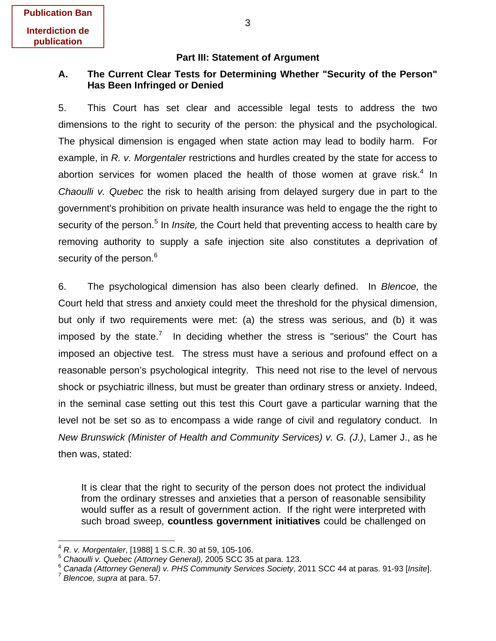**Publication Ban Interdiction de publication**

#### **Part III: Statement of Argument**

## **A. The Current Clear Tests for Determining Whether "Security of the Person" Has Been Infringed or Denied**

5. This Court has set clear and accessible legal tests to address the two dimensions to the right to security of the person: the physical and the psychological. The physical dimension is engaged when state action may lead to bodily harm. For example, in *R. v. Morgentaler* restrictions and hurdles created by the state for access to abortion services for women placed the health of those women at grave risk.<sup>4</sup> In *Chaoulli v. Quebec* the risk to health arising from delayed surgery due in part to the government's prohibition on private health insurance was held to engage the the right to security of the person.<sup>5</sup> In *Insite,* the Court held that preventing access to health care by removing authority to supply a safe injection site also constitutes a deprivation of security of the person.<sup>6</sup>

6. The psychological dimension has also been clearly defined. In *Blencoe,* the Court held that stress and anxiety could meet the threshold for the physical dimension, but only if two requirements were met: (a) the stress was serious, and (b) it was imposed by the state.<sup>7</sup> In deciding whether the stress is "serious" the Court has imposed an objective test. The stress must have a serious and profound effect on a reasonable person's psychological integrity. This need not rise to the level of nervous shock or psychiatric illness, but must be greater than ordinary stress or anxiety. Indeed, in the seminal case setting out this test this Court gave a particular warning that the level not be set so as to encompass a wide range of civil and regulatory conduct. In *New Brunswick (Minister of Health and Community Services) v. G. (J.)*, Lamer J., as he then was, stated:

It is clear that the right to security of the person does not protect the individual from the ordinary stresses and anxieties that a person of reasonable sensibility would suffer as a result of government action. If the right were interpreted with such broad sweep, **countless government initiatives** could be challenged on

 $\overline{a}$ 

<sup>4</sup> *R. v. Morgentaler*, [1988] 1 S.C.R. 30 at 59, 105-106.

 $^6$  Canada (Attorney General) v. PHS Community Services Society, 2011 SCC 44 at paras. 91-93 [Insite].  $^7$  Blencoe, supra at para. 57.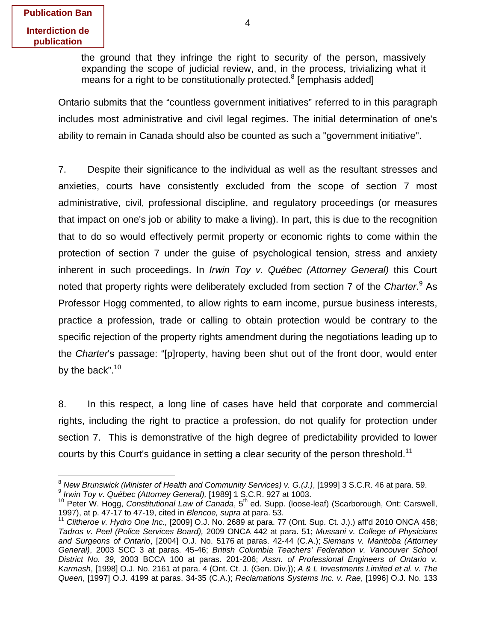1

the ground that they infringe the right to security of the person, massively expanding the scope of judicial review, and, in the process, trivializing what it means for a right to be constitutionally protected.<sup>8</sup> [emphasis added]

Ontario submits that the "countless government initiatives" referred to in this paragraph includes most administrative and civil legal regimes. The initial determination of one's ability to remain in Canada should also be counted as such a "government initiative".

7. Despite their significance to the individual as well as the resultant stresses and anxieties, courts have consistently excluded from the scope of section 7 most administrative, civil, professional discipline, and regulatory proceedings (or measures that impact on one's job or ability to make a living). In part, this is due to the recognition that to do so would effectively permit property or economic rights to come within the protection of section 7 under the guise of psychological tension, stress and anxiety inherent in such proceedings. In *Irwin Toy v. Québec (Attorney General)* this Court noted that property rights were deliberately excluded from section 7 of the *Charter*.<sup>9</sup> As Professor Hogg commented, to allow rights to earn income, pursue business interests, practice a profession, trade or calling to obtain protection would be contrary to the specific rejection of the property rights amendment during the negotiations leading up to the *Charter*'s passage: "[p]roperty, having been shut out of the front door, would enter by the back".<sup>10</sup>

8. In this respect, a long line of cases have held that corporate and commercial rights, including the right to practice a profession, do not qualify for protection under section 7. This is demonstrative of the high degree of predictability provided to lower courts by this Court's guidance in setting a clear security of the person threshold.<sup>11</sup>

<sup>&</sup>lt;sup>8</sup> New Brunswick (Minister of Health and Community Services) v. G.(J.), [1999] 3 S.C.R. 46 at para. 59.<br><sup>9</sup> Irwin Toy v. Québec (Attorney General), [1989] 1 S.C.R. 927 at 1003.

<sup>&</sup>lt;sup>10</sup> Peter W. Hogg, *Constitutional Law of Canada*, 5<sup>th</sup> ed. Supp. (loose-leaf) (Scarborough, Ont: Carswell, 1997), at p. 47-17 to 47-19, cited in *Blencoe, supra* at para. 53.

<sup>1997),</sup> at p. 47-17 to 47-19, cited in *Blencoe, supra* at para. 53. 11 *Clitheroe v. Hydro One Inc.,* [2009] O.J. No. 2689 at para. 77 (Ont. Sup. Ct. J.).) aff'd 2010 ONCA 458; *Tadros v. Peel (Police Services Board),* 2009 ONCA 442 at para. 51; *Mussani v. College of Physicians and Surgeons of Ontario*, [2004] O.J. No. 5176 at paras. 42-44 (C.A.); *Siemans v. Manitoba (Attorney General)*, 2003 SCC 3 at paras. 45-46; *British Columbia Teachers' Federation v. Vancouver School District No. 39,* 2003 BCCA 100 at paras. 201-206; *Assn. of Professional Engineers of Ontario v. Karmash*, [1998] O.J. No. 2161 at para. 4 (Ont. Ct. J. (Gen. Div.)); *A & L Investments Limited et al. v. The Queen*, [1997] O.J. 4199 at paras. 34-35 (C.A.); *Reclamations Systems Inc. v. Rae*, [1996] O.J. No. 133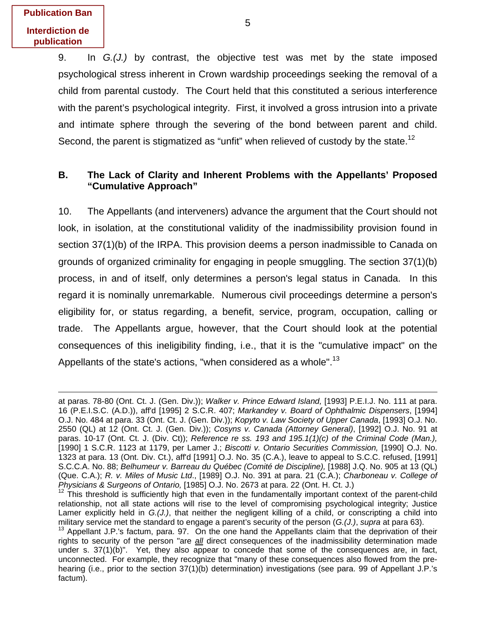$\overline{a}$ 

9. In *G.(J.)* by contrast, the objective test was met by the state imposed psychological stress inherent in Crown wardship proceedings seeking the removal of a child from parental custody. The Court held that this constituted a serious interference with the parent's psychological integrity. First, it involved a gross intrusion into a private and intimate sphere through the severing of the bond between parent and child. Second, the parent is stigmatized as "unfit" when relieved of custody by the state.<sup>12</sup>

## **B. The Lack of Clarity and Inherent Problems with the Appellants' Proposed "Cumulative Approach"**

10. The Appellants (and interveners) advance the argument that the Court should not look, in isolation, at the constitutional validity of the inadmissibility provision found in section 37(1)(b) of the IRPA. This provision deems a person inadmissible to Canada on grounds of organized criminality for engaging in people smuggling. The section 37(1)(b) process, in and of itself, only determines a person's legal status in Canada. In this regard it is nominally unremarkable. Numerous civil proceedings determine a person's eligibility for, or status regarding, a benefit, service, program, occupation, calling or trade. The Appellants argue, however, that the Court should look at the potential consequences of this ineligibility finding, i.e., that it is the "cumulative impact" on the Appellants of the state's actions, "when considered as a whole".<sup>13</sup>

at paras. 78-80 (Ont. Ct. J. (Gen. Div.)); *Walker v. Prince Edward Island,* [1993] P.E.I.J. No. 111 at para. 16 (P.E.I.S.C. (A.D.)), aff'd [1995] 2 S.C.R. 407; *Markandey v. Board of Ophthalmic Dispensers*, [1994] O.J. No. 484 at para. 33 (Ont. Ct. J. (Gen. Div.)); *Kopyto v. Law Society of Upper Canada*, [1993] O.J. No. 2550 (QL) at 12 (Ont. Ct. J. (Gen. Div.)); *Cosyns v. Canada (Attorney General)*, [1992] O.J. No. 91 at paras. 10-17 (Ont. Ct. J. (Div. Ct)); *Reference re ss. 193 and 195.1(1)(c) of the Criminal Code (Man.),*  [1990] 1 S.C.R. 1123 at 1179, per Lamer J.; *Biscotti v. Ontario Securities Commission,* [1990] O.J. No. 1323 at para. 13 (Ont. Div. Ct.), aff'd [1991] O.J. No. 35 (C.A.), leave to appeal to S.C.C. refused, [1991] S.C.C.A. No. 88; *Belhumeur v. Barreau du Québec (Comité de Discipline),* [1988] J.Q. No. 905 at 13 (QL) (Que. C.A.); *R. v. Miles of Music Ltd*., [1989] O.J. No. 391 at para. 21 (C.A.); *Charboneau v. College of Physicians & Surgeons of Ontario,* [1985] O.J. No. 2673 at para. 22 (Ont. H. Ct. J.)<br><sup>12</sup> This threshold is sufficiently high that even in the fundamentally important context of the parent-child

relationship, not all state actions will rise to the level of compromising psychological integrity; Justice Lamer explicitly held in *G.(J.)*, that neither the negligent killing of a child, or conscripting a child into military service met the standard to engage a parent's security of the person (*G.(J.)*, supra at para 63).

<sup>&</sup>lt;sup>13</sup> Appellant J.P.'s factum, para. 97. On the one hand the Appellants claim that the deprivation of their rights to security of the person "are *all* direct consequences of the inadmissibility determination made under s. 37(1)(b)". Yet, they also appear to concede that some of the consequences are, in fact, unconnected. For example, they recognize that "many of these consequences also flowed from the prehearing (i.e., prior to the section 37(1)(b) determination) investigations (see para. 99 of Appellant J.P.'s factum).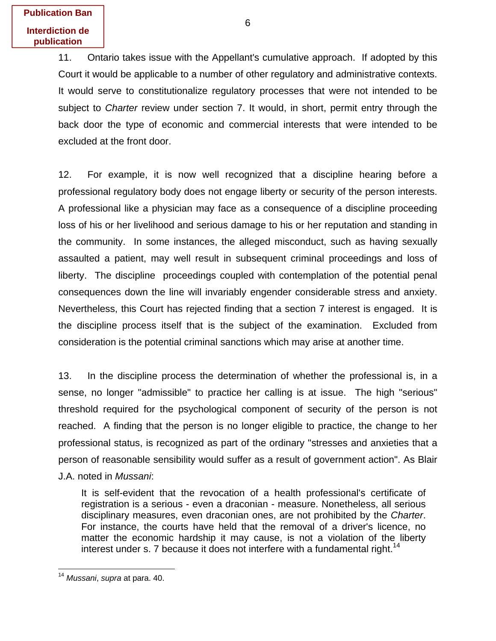11. Ontario takes issue with the Appellant's cumulative approach. If adopted by this Court it would be applicable to a number of other regulatory and administrative contexts. It would serve to constitutionalize regulatory processes that were not intended to be subject to *Charter* review under section 7. It would, in short, permit entry through the back door the type of economic and commercial interests that were intended to be excluded at the front door.

12. For example, it is now well recognized that a discipline hearing before a professional regulatory body does not engage liberty or security of the person interests. A professional like a physician may face as a consequence of a discipline proceeding loss of his or her livelihood and serious damage to his or her reputation and standing in the community. In some instances, the alleged misconduct, such as having sexually assaulted a patient, may well result in subsequent criminal proceedings and loss of liberty. The discipline proceedings coupled with contemplation of the potential penal consequences down the line will invariably engender considerable stress and anxiety. Nevertheless, this Court has rejected finding that a section 7 interest is engaged. It is the discipline process itself that is the subject of the examination. Excluded from consideration is the potential criminal sanctions which may arise at another time.

13. In the discipline process the determination of whether the professional is, in a sense, no longer "admissible" to practice her calling is at issue. The high "serious" threshold required for the psychological component of security of the person is not reached. A finding that the person is no longer eligible to practice, the change to her professional status, is recognized as part of the ordinary "stresses and anxieties that a person of reasonable sensibility would suffer as a result of government action". As Blair J.A. noted in *Mussani*:

It is self-evident that the revocation of a health professional's certificate of registration is a serious - even a draconian - measure. Nonetheless, all serious disciplinary measures, even draconian ones, are not prohibited by the *Charter*. For instance, the courts have held that the removal of a driver's licence, no matter the economic hardship it may cause, is not a violation of the liberty interest under s. 7 because it does not interfere with a fundamental right.<sup>14</sup>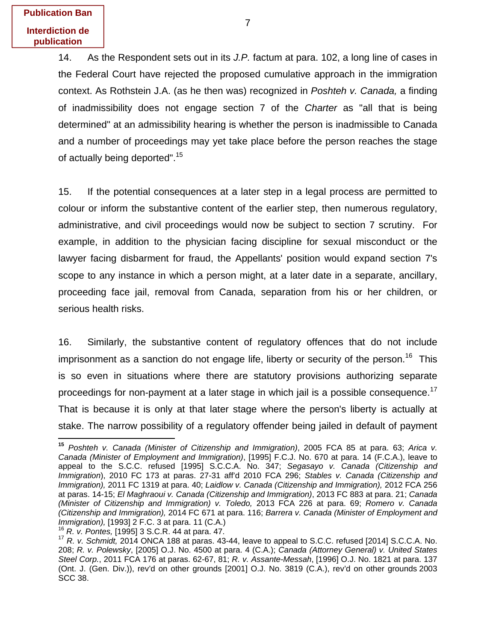14. As the Respondent sets out in its *J.P.* factum at para. 102, a long line of cases in the Federal Court have rejected the proposed cumulative approach in the immigration context. As Rothstein J.A. (as he then was) recognized in *Poshteh v. Canada,* a finding of inadmissibility does not engage section 7 of the *Charter* as "all that is being determined" at an admissibility hearing is whether the person is inadmissible to Canada and a number of proceedings may yet take place before the person reaches the stage of actually being deported".15

15. If the potential consequences at a later step in a legal process are permitted to colour or inform the substantive content of the earlier step, then numerous regulatory, administrative, and civil proceedings would now be subject to section 7 scrutiny. For example, in addition to the physician facing discipline for sexual misconduct or the lawyer facing disbarment for fraud, the Appellants' position would expand section 7's scope to any instance in which a person might, at a later date in a separate, ancillary, proceeding face jail, removal from Canada, separation from his or her children, or serious health risks.

16. Similarly, the substantive content of regulatory offences that do not include imprisonment as a sanction do not engage life, liberty or security of the person.<sup>16</sup> This is so even in situations where there are statutory provisions authorizing separate proceedings for non-payment at a later stage in which jail is a possible consequence.<sup>17</sup> That is because it is only at that later stage where the person's liberty is actually at stake. The narrow possibility of a regulatory offender being jailed in default of payment

 $\overline{a}$ **<sup>15</sup>** *Poshteh v. Canada (Minister of Citizenship and Immigration)*, 2005 FCA 85 at para. 63; *Arica v. Canada (Minister of Employment and Immigration)*, [1995] F.C.J. No. 670 at para. 14 (F.C.A.), leave to appeal to the S.C.C. refused [1995] S.C.C.A. No. 347; *Segasayo v. Canada (Citizenship and Immigration*), 2010 FC 173 at paras. 27-31 aff'd 2010 FCA 296; *Stables v. Canada (Citizenship and Immigration),* 2011 FC 1319 at para. 40; *Laidlow v. Canada (Citizenship and Immigration),* 2012 FCA 256 at paras. 14-15; *El Maghraoui v. Canada (Citizenship and Immigration)*, 2013 FC 883 at para. 21; *Canada (Minister of Citizenship and Immigration) v. Toledo,* 2013 FCA 226 at para. 69; *Romero v. Canada (Citizenship and Immigration),* 2014 FC 671 at para. 116; *Barrera v. Canada (Minister of Employment and* 

<sup>&</sup>lt;sup>16</sup> *R. v. Pontes,* [1995] 3 S.C.R. 44 at para. 47.<br><sup>17</sup> *R. v. Schmidt,* 2014 ONCA 188 at paras. 43-44, leave to appeal to S.C.C. refused [2014] S.C.C.A. No. 208; *R. v. Polewsky*, [2005] O.J. No. 4500 at para. 4 (C.A.); *Canada (Attorney General) v. United States Steel Corp.*, 2011 FCA 176 at paras. 62-67, 81; *R. v. Assante-Messah*, [1996] O.J. No. 1821 at para. 137 (Ont. J. (Gen. Div.)), rev'd on other grounds [2001] O.J. No. 3819 (C.A.), rev'd on other grounds 2003 SCC 38.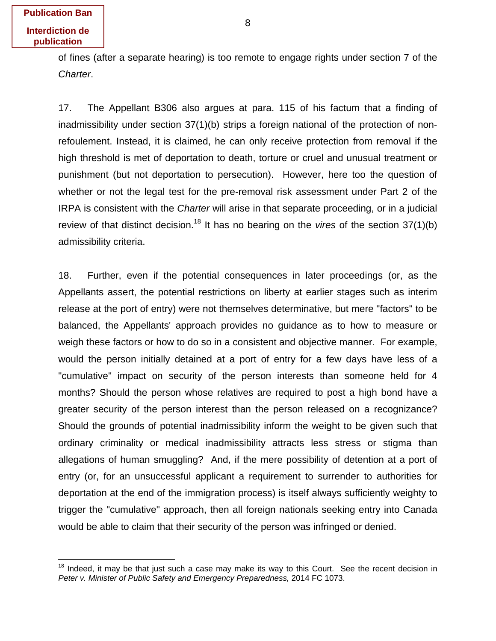$\overline{a}$ 

of fines (after a separate hearing) is too remote to engage rights under section 7 of the *Charter*.

17. The Appellant B306 also argues at para. 115 of his factum that a finding of inadmissibility under section 37(1)(b) strips a foreign national of the protection of nonrefoulement. Instead, it is claimed, he can only receive protection from removal if the high threshold is met of deportation to death, torture or cruel and unusual treatment or punishment (but not deportation to persecution). However, here too the question of whether or not the legal test for the pre-removal risk assessment under Part 2 of the IRPA is consistent with the *Charter* will arise in that separate proceeding, or in a judicial review of that distinct decision.18 It has no bearing on the *vires* of the section 37(1)(b) admissibility criteria.

18. Further, even if the potential consequences in later proceedings (or, as the Appellants assert, the potential restrictions on liberty at earlier stages such as interim release at the port of entry) were not themselves determinative, but mere "factors" to be balanced, the Appellants' approach provides no guidance as to how to measure or weigh these factors or how to do so in a consistent and objective manner. For example, would the person initially detained at a port of entry for a few days have less of a "cumulative" impact on security of the person interests than someone held for 4 months? Should the person whose relatives are required to post a high bond have a greater security of the person interest than the person released on a recognizance? Should the grounds of potential inadmissibility inform the weight to be given such that ordinary criminality or medical inadmissibility attracts less stress or stigma than allegations of human smuggling? And, if the mere possibility of detention at a port of entry (or, for an unsuccessful applicant a requirement to surrender to authorities for deportation at the end of the immigration process) is itself always sufficiently weighty to trigger the "cumulative" approach, then all foreign nationals seeking entry into Canada would be able to claim that their security of the person was infringed or denied.

 $18$  Indeed, it may be that just such a case may make its way to this Court. See the recent decision in *Peter v. Minister of Public Safety and Emergency Preparedness,* 2014 FC 1073.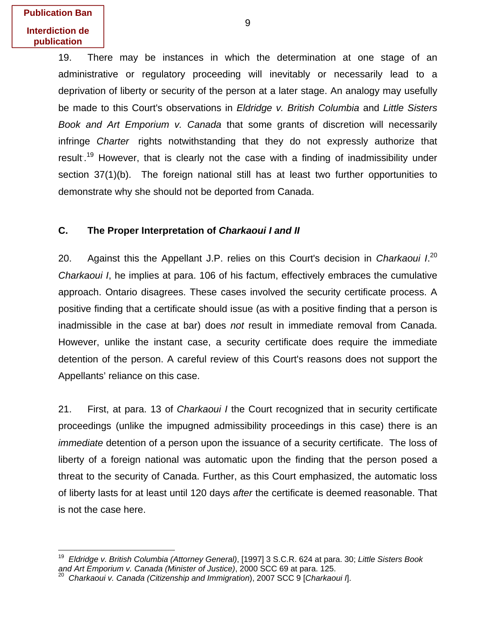19. There may be instances in which the determination at one stage of an administrative or regulatory proceeding will inevitably or necessarily lead to a deprivation of liberty or security of the person at a later stage. An analogy may usefully be made to this Court's observations in *Eldridge v. British Columbia* and *Little Sisters Book and Art Emporium v. Canada* that some grants of discretion will necessarily infringe *Charter* rights notwithstanding that they do not expressly authorize that result<sup>.19</sup> However, that is clearly not the case with a finding of inadmissibility under section 37(1)(b). The foreign national still has at least two further opportunities to demonstrate why she should not be deported from Canada.

## **C. The Proper Interpretation of** *Charkaoui I and II*

20. Against this the Appellant J.P. relies on this Court's decision in *Charkaoui I*. 20 *Charkaoui I*, he implies at para. 106 of his factum, effectively embraces the cumulative approach. Ontario disagrees. These cases involved the security certificate process. A positive finding that a certificate should issue (as with a positive finding that a person is inadmissible in the case at bar) does *not* result in immediate removal from Canada. However, unlike the instant case, a security certificate does require the immediate detention of the person. A careful review of this Court's reasons does not support the Appellants' reliance on this case.

21. First, at para. 13 of *Charkaoui I* the Court recognized that in security certificate proceedings (unlike the impugned admissibility proceedings in this case) there is an *immediate* detention of a person upon the issuance of a security certificate. The loss of liberty of a foreign national was automatic upon the finding that the person posed a threat to the security of Canada. Further, as this Court emphasized, the automatic loss of liberty lasts for at least until 120 days *after* the certificate is deemed reasonable. That is not the case here.

 $\overline{a}$ 19 *Eldridge v. British Columbia (Attorney General)*, [1997] 3 S.C.R. 624 at para. 30; *Little Sisters Book and Art Emporium v. Canada (Minister of Justice)*, 2000 SCC 69 at para. 125. 20 *Charkaoui v. Canada (Citizenship and Immigration*), 2007 SCC 9 [*Charkaoui I*].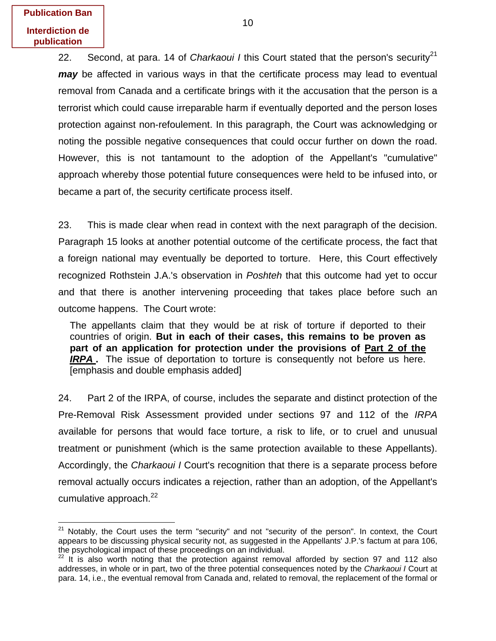1

22. Second, at para. 14 of *Charkaoui I* this Court stated that the person's security<sup>21</sup> *may* be affected in various ways in that the certificate process may lead to eventual removal from Canada and a certificate brings with it the accusation that the person is a terrorist which could cause irreparable harm if eventually deported and the person loses protection against non-refoulement. In this paragraph, the Court was acknowledging or noting the possible negative consequences that could occur further on down the road. However, this is not tantamount to the adoption of the Appellant's "cumulative" approach whereby those potential future consequences were held to be infused into, or became a part of, the security certificate process itself.

23. This is made clear when read in context with the next paragraph of the decision. Paragraph 15 looks at another potential outcome of the certificate process, the fact that a foreign national may eventually be deported to torture. Here, this Court effectively recognized Rothstein J.A.'s observation in *Poshteh* that this outcome had yet to occur and that there is another intervening proceeding that takes place before such an outcome happens. The Court wrote:

The appellants claim that they would be at risk of torture if deported to their countries of origin. **But in each of their cases, this remains to be proven as part of an application for protection under the provisions of Part 2 of the**  *IRPA* **.** The issue of deportation to torture is consequently not before us here. [emphasis and double emphasis added]

24. Part 2 of the IRPA, of course, includes the separate and distinct protection of the Pre-Removal Risk Assessment provided under sections 97 and 112 of the *IRPA* available for persons that would face torture, a risk to life, or to cruel and unusual treatment or punishment (which is the same protection available to these Appellants). Accordingly, the *Charkaoui I* Court's recognition that there is a separate process before removal actually occurs indicates a rejection, rather than an adoption, of the Appellant's cumulative approach. $^{22}$ 

 $21$  Notably, the Court uses the term "security" and not "security of the person". In context, the Court appears to be discussing physical security not, as suggested in the Appellants' J.P.'s factum at para 106, the psychological impact of these proceedings on an individual.

 $22$  It is also worth noting that the protection against removal afforded by section 97 and 112 also addresses, in whole or in part, two of the three potential consequences noted by the *Charkaoui I* Court at para. 14, i.e., the eventual removal from Canada and, related to removal, the replacement of the formal or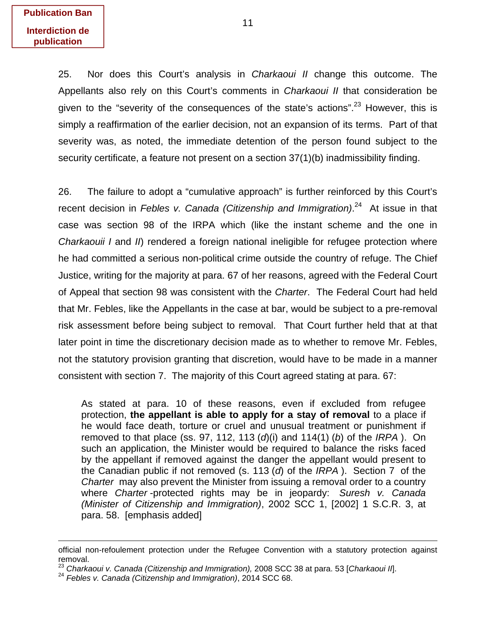$\overline{a}$ 

25. Nor does this Court's analysis in *Charkaoui II* change this outcome. The Appellants also rely on this Court's comments in *Charkaoui II* that consideration be given to the "severity of the consequences of the state's actions".<sup>23</sup> However, this is simply a reaffirmation of the earlier decision, not an expansion of its terms. Part of that severity was, as noted, the immediate detention of the person found subject to the security certificate, a feature not present on a section 37(1)(b) inadmissibility finding.

26. The failure to adopt a "cumulative approach" is further reinforced by this Court's recent decision in *Febles v. Canada (Citizenship and Immigration)*. 24 At issue in that case was section 98 of the IRPA which (like the instant scheme and the one in *Charkaouii I* and *II*) rendered a foreign national ineligible for refugee protection where he had committed a serious non-political crime outside the country of refuge. The Chief Justice, writing for the majority at para. 67 of her reasons, agreed with the Federal Court of Appeal that section 98 was consistent with the *Charter*. The Federal Court had held that Mr. Febles, like the Appellants in the case at bar, would be subject to a pre-removal risk assessment before being subject to removal. That Court further held that at that later point in time the discretionary decision made as to whether to remove Mr. Febles, not the statutory provision granting that discretion, would have to be made in a manner consistent with section 7. The majority of this Court agreed stating at para. 67:

As stated at para. 10 of these reasons, even if excluded from refugee protection, **the appellant is able to apply for a stay of removal** to a place if he would face death, torture or cruel and unusual treatment or punishment if removed to that place (ss. 97, 112, 113 (*d*)(i) and 114(1) (*b*) of the *IRPA* ). On such an application, the Minister would be required to balance the risks faced by the appellant if removed against the danger the appellant would present to the Canadian public if not removed (s. 113 (*d*) of the *IRPA* ). Section 7 of the *Charter* may also prevent the Minister from issuing a removal order to a country where *Charter* -protected rights may be in jeopardy: *Suresh v. Canada (Minister of Citizenship and Immigration)*, 2002 SCC 1, [2002] 1 S.C.R. 3, at para. 58. [emphasis added]

official non-refoulement protection under the Refugee Convention with a statutory protection against removal.

<sup>&</sup>lt;sup>23</sup> Charkaoui v. Canada (Citizenship and Immigration), 2008 SCC 38 at para. 53 [Charkaoui II].<br><sup>24</sup> Febles v. Canada (Citizenship and Immigration), 2014 SCC 68.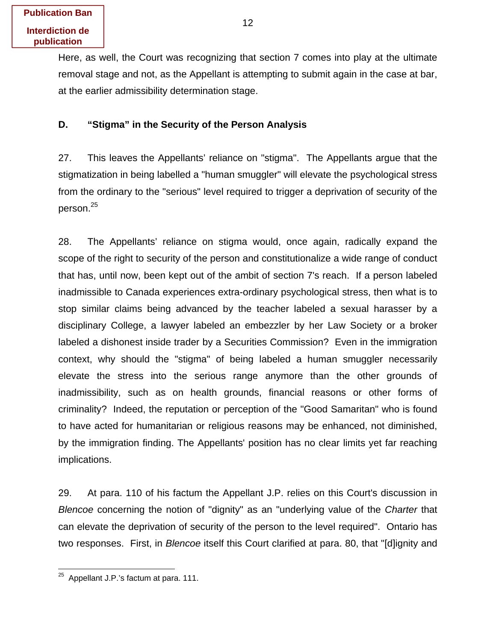Here, as well, the Court was recognizing that section 7 comes into play at the ultimate removal stage and not, as the Appellant is attempting to submit again in the case at bar, at the earlier admissibility determination stage.

# **D. "Stigma" in the Security of the Person Analysis**

27. This leaves the Appellants' reliance on "stigma". The Appellants argue that the stigmatization in being labelled a "human smuggler" will elevate the psychological stress from the ordinary to the "serious" level required to trigger a deprivation of security of the person.<sup>25</sup>

28. The Appellants' reliance on stigma would, once again, radically expand the scope of the right to security of the person and constitutionalize a wide range of conduct that has, until now, been kept out of the ambit of section 7's reach. If a person labeled inadmissible to Canada experiences extra-ordinary psychological stress, then what is to stop similar claims being advanced by the teacher labeled a sexual harasser by a disciplinary College, a lawyer labeled an embezzler by her Law Society or a broker labeled a dishonest inside trader by a Securities Commission? Even in the immigration context, why should the "stigma" of being labeled a human smuggler necessarily elevate the stress into the serious range anymore than the other grounds of inadmissibility, such as on health grounds, financial reasons or other forms of criminality? Indeed, the reputation or perception of the "Good Samaritan" who is found to have acted for humanitarian or religious reasons may be enhanced, not diminished, by the immigration finding. The Appellants' position has no clear limits yet far reaching implications.

29. At para. 110 of his factum the Appellant J.P. relies on this Court's discussion in *Blencoe* concerning the notion of "dignity" as an "underlying value of the *Charter* that can elevate the deprivation of security of the person to the level required". Ontario has two responses. First, in *Blencoe* itself this Court clarified at para. 80, that "[d]ignity and

<sup>&</sup>lt;u>.</u>  $^{25}$  Appellant J.P.'s factum at para. 111.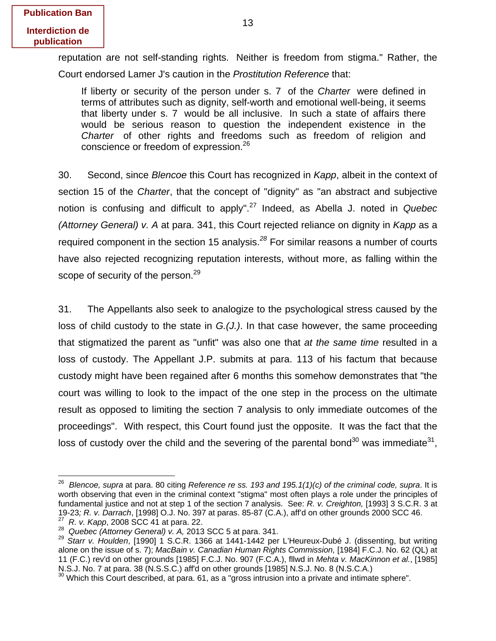|  |  | <b>Publication Ban</b> |
|--|--|------------------------|
|  |  |                        |

1

reputation are not self-standing rights. Neither is freedom from stigma." Rather, the Court endorsed Lamer J's caution in the *Prostitution Reference* that:

If liberty or security of the person under s. 7 of the *Charter* were defined in terms of attributes such as dignity, self-worth and emotional well-being, it seems that liberty under s. 7 would be all inclusive. In such a state of affairs there would be serious reason to question the independent existence in the *Charter* of other rights and freedoms such as freedom of religion and conscience or freedom of expression.26

30. Second, since *Blencoe* this Court has recognized in *Kapp*, albeit in the context of section 15 of the *Charter*, that the concept of "dignity" as "an abstract and subjective notion is confusing and difficult to apply".27 Indeed, as Abella J. noted in *Quebec (Attorney General) v. A* at para. 341, this Court rejected reliance on dignity in *Kapp* as a required component in the section 15 analysis.*<sup>28</sup>* For similar reasons a number of courts have also rejected recognizing reputation interests, without more, as falling within the scope of security of the person.<sup>29</sup>

31. The Appellants also seek to analogize to the psychological stress caused by the loss of child custody to the state in *G.(J.)*. In that case however, the same proceeding that stigmatized the parent as "unfit" was also one that *at the same time* resulted in a loss of custody. The Appellant J.P. submits at para. 113 of his factum that because custody might have been regained after 6 months this somehow demonstrates that "the court was willing to look to the impact of the one step in the process on the ultimate result as opposed to limiting the section 7 analysis to only immediate outcomes of the proceedings". With respect, this Court found just the opposite. It was the fact that the loss of custody over the child and the severing of the parental bond<sup>30</sup> was immediate<sup>31</sup>.

<sup>26</sup> *Blencoe, supra* at para. 80 citing *Reference re ss. 193 and 195.1(1)(c) of the criminal code, supra*. It is worth observing that even in the criminal context "stigma" most often plays a role under the principles of fundamental justice and not at step 1 of the section 7 analysis. See: *R. v. Creighton,* [1993] 3 S.C.R. 3 at 19-23; R. v. Darrach, [1998] O.J. No. 397 at paras. 85-87 (C.A.), aff'd on other grounds 2000 SCC 46.<br>
<sup>27</sup> R. v. Kapp, 2008 SCC 41 at para. 22.<br>
<sup>28</sup> Quebec (Attorney General) v. A, 2013 SCC 5 at para. 341.<br>
<sup>29</sup> Starr v

alone on the issue of s. 7); *MacBain v. Canadian Human Rights Commission,* [1984] F.C.J. No. 62 (QL) at 11 (F.C.) rev'd on other grounds [1985] F.C.J. No. 907 (F.C.A.), fllwd in *Mehta v. MacKinnon et al.*, [1985] N.S.J. No. 7 at para. 38 (N.S.S.C.) aff'd on other grounds [1985] N.S.J. No. 8 (N.S.C.A.)

 $30$  Which this Court described, at para. 61, as a "gross intrusion into a private and intimate sphere".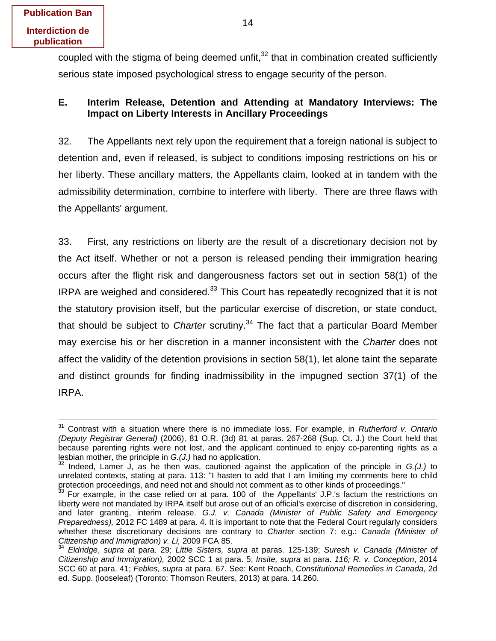coupled with the stigma of being deemed unfit, $32$  that in combination created sufficiently serious state imposed psychological stress to engage security of the person.

# **E. Interim Release, Detention and Attending at Mandatory Interviews: The Impact on Liberty Interests in Ancillary Proceedings**

32. The Appellants next rely upon the requirement that a foreign national is subject to detention and, even if released, is subject to conditions imposing restrictions on his or her liberty. These ancillary matters, the Appellants claim, looked at in tandem with the admissibility determination, combine to interfere with liberty. There are three flaws with the Appellants' argument.

33. First, any restrictions on liberty are the result of a discretionary decision not by the Act itself. Whether or not a person is released pending their immigration hearing occurs after the flight risk and dangerousness factors set out in section 58(1) of the IRPA are weighed and considered.<sup>33</sup> This Court has repeatedly recognized that it is not the statutory provision itself, but the particular exercise of discretion, or state conduct, that should be subject to *Charter* scrutiny.34 The fact that a particular Board Member may exercise his or her discretion in a manner inconsistent with the *Charter* does not affect the validity of the detention provisions in section 58(1), let alone taint the separate and distinct grounds for finding inadmissibility in the impugned section 37(1) of the IRPA.

31 Contrast with a situation where there is no immediate loss. For example, in *Rutherford v. Ontario (Deputy Registrar General)* (2006), 81 O.R. (3d) 81 at paras. 267-268 (Sup. Ct. J.) the Court held that because parenting rights were not lost, and the applicant continued to enjoy co-parenting rights as a lesbian mother, the principle in  $G.(J.)$  had no application.

Indeed, Lamer J, as he then was, cautioned against the application of the principle in *G.(J.)* to unrelated contexts, stating at para. 113: "I hasten to add that I am limiting my comments here to child protection proceedings, and need not and should not comment as to other kinds of proceedings."

<sup>33</sup> For example, in the case relied on at para. 100 of the Appellants' J.P.'s factum the restrictions on liberty were not mandated by IRPA itself but arose out of an official's exercise of discretion in considering, and later granting, interim release. *G.J. v. Canada (Minister of Public Safety and Emergency Preparedness),* 2012 FC 1489 at para. 4. It is important to note that the Federal Court regularly considers whether these discretionary decisions are contrary to *Charter* section 7: e.g.: *Canada (Minister of Citizenship and Immigration) v. Li,* 2009 FCA 85.

<sup>34</sup> *Eldridge*, *supra* at para. 29; *Little Sisters, supra* at paras. 125-139; *Suresh v. Canada (Minister of Citizenship and Immigration),* 2002 SCC 1 at para. 5; *Insite, supra* at para. *116; R. v. Conception*, 2014 SCC 60 at para. 41; *Febles, supra* at para. 67. See: Kent Roach, *Constitutional Remedies in Canada*, 2d ed. Supp. (looseleaf) (Toronto: Thomson Reuters, 2013) at para. 14.260.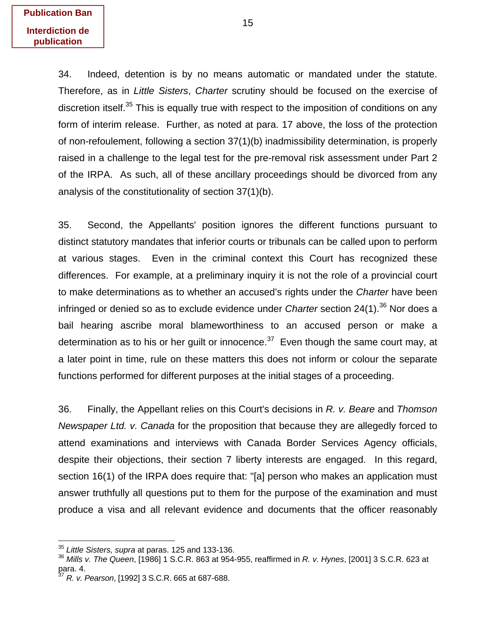34. Indeed, detention is by no means automatic or mandated under the statute. Therefore, as in *Little Sisters*, *Charter* scrutiny should be focused on the exercise of discretion itself.<sup>35</sup> This is equally true with respect to the imposition of conditions on any form of interim release. Further, as noted at para. 17 above, the loss of the protection of non-refoulement, following a section 37(1)(b) inadmissibility determination, is properly raised in a challenge to the legal test for the pre-removal risk assessment under Part 2 of the IRPA. As such, all of these ancillary proceedings should be divorced from any analysis of the constitutionality of section 37(1)(b).

35. Second, the Appellants' position ignores the different functions pursuant to distinct statutory mandates that inferior courts or tribunals can be called upon to perform at various stages. Even in the criminal context this Court has recognized these differences. For example, at a preliminary inquiry it is not the role of a provincial court to make determinations as to whether an accused's rights under the *Charter* have been infringed or denied so as to exclude evidence under *Charter* section 24(1).<sup>36</sup> Nor does a bail hearing ascribe moral blameworthiness to an accused person or make a determination as to his or her guilt or innocence.<sup>37</sup> Even though the same court may, at a later point in time, rule on these matters this does not inform or colour the separate functions performed for different purposes at the initial stages of a proceeding.

36. Finally, the Appellant relies on this Court's decisions in *R. v. Beare* and *Thomson Newspaper Ltd. v. Canada* for the proposition that because they are allegedly forced to attend examinations and interviews with Canada Border Services Agency officials, despite their objections, their section 7 liberty interests are engaged. In this regard, section 16(1) of the IRPA does require that: "[a] person who makes an application must answer truthfully all questions put to them for the purpose of the examination and must produce a visa and all relevant evidence and documents that the officer reasonably

<sup>&</sup>lt;sup>35</sup> Little Sisters, supra at paras. 125 and 133-136.

<sup>35</sup> *Little Sisters, supra* at paras. 125 and 133-136. 36 *Mills v. The Queen*, [1986] 1 S.C.R. 863 at 954-955, reaffirmed in *R. v. Hynes*, [2001] 3 S.C.R. 623 at para. 4.

<sup>37</sup> *R. v. Pearson*, [1992] 3 S.C.R. 665 at 687-688.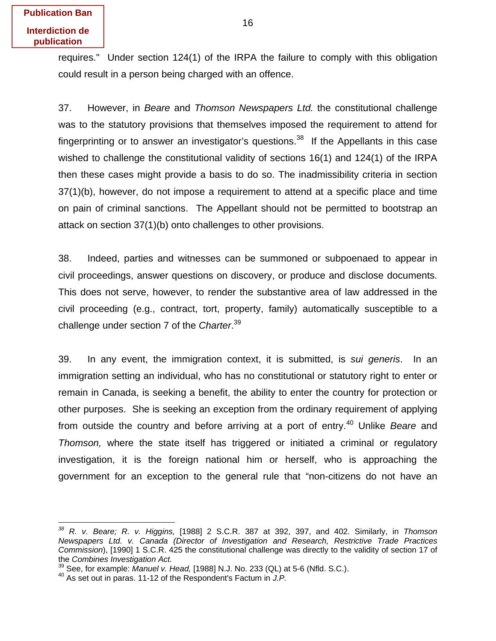requires." Under section 124(1) of the IRPA the failure to comply with this obligation could result in a person being charged with an offence.

37. However, in *Beare* and *Thomson Newspapers Ltd.* the constitutional challenge was to the statutory provisions that themselves imposed the requirement to attend for fingerprinting or to answer an investigator's questions.<sup>38</sup> If the Appellants in this case wished to challenge the constitutional validity of sections 16(1) and 124(1) of the IRPA then these cases might provide a basis to do so. The inadmissibility criteria in section 37(1)(b), however, do not impose a requirement to attend at a specific place and time on pain of criminal sanctions. The Appellant should not be permitted to bootstrap an attack on section 37(1)(b) onto challenges to other provisions.

38. Indeed, parties and witnesses can be summoned or subpoenaed to appear in civil proceedings, answer questions on discovery, or produce and disclose documents. This does not serve, however, to render the substantive area of law addressed in the civil proceeding (e.g., contract, tort, property, family) automatically susceptible to a challenge under section 7 of the *Charter*. 39

39. In any event, the immigration context, it is submitted, is *sui generis*. In an immigration setting an individual, who has no constitutional or statutory right to enter or remain in Canada, is seeking a benefit, the ability to enter the country for protection or other purposes. She is seeking an exception from the ordinary requirement of applying from outside the country and before arriving at a port of entry.40 Unlike *Beare* and *Thomson,* where the state itself has triggered or initiated a criminal or regulatory investigation, it is the foreign national him or herself, who is approaching the government for an exception to the general rule that "non-citizens do not have an

 $\overline{a}$ *38 R. v. Beare; R. v. Higgins,* [1988] 2 S.C.R. 387 at 392, 397, and 402. Similarly, in *Thomson Newspapers Ltd. v. Canada (Director of Investigation and Research, Restrictive Trade Practices Commission*), [1990] 1 S.C.R. 425 the constitutional challenge was directly to the validity of section 17 of the Combines Investigation Act.

<sup>&</sup>lt;sup>39</sup> See, for example: *Manuel v. Head,* [1988] N.J. No. 233 (QL) at 5-6 (Nfld. S.C.). <sup>40</sup> As set out in paras. 11-12 of the Respondent's Factum in *J.P.*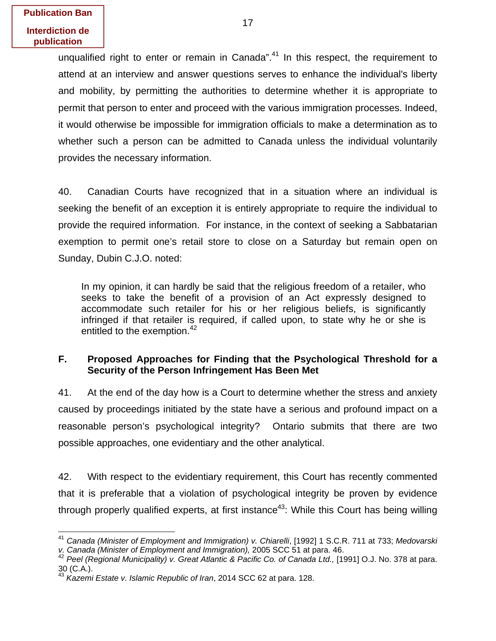unqualified right to enter or remain in Canada".<sup>41</sup> In this respect, the requirement to attend at an interview and answer questions serves to enhance the individual's liberty and mobility, by permitting the authorities to determine whether it is appropriate to permit that person to enter and proceed with the various immigration processes. Indeed, it would otherwise be impossible for immigration officials to make a determination as to whether such a person can be admitted to Canada unless the individual voluntarily provides the necessary information.

40. Canadian Courts have recognized that in a situation where an individual is seeking the benefit of an exception it is entirely appropriate to require the individual to provide the required information. For instance, in the context of seeking a Sabbatarian exemption to permit one's retail store to close on a Saturday but remain open on Sunday, Dubin C.J.O. noted:

In my opinion, it can hardly be said that the religious freedom of a retailer, who seeks to take the benefit of a provision of an Act expressly designed to accommodate such retailer for his or her religious beliefs, is significantly infringed if that retailer is required, if called upon, to state why he or she is entitled to the exemption.<sup>42</sup>

## **F. Proposed Approaches for Finding that the Psychological Threshold for a Security of the Person Infringement Has Been Met**

41. At the end of the day how is a Court to determine whether the stress and anxiety caused by proceedings initiated by the state have a serious and profound impact on a reasonable person's psychological integrity? Ontario submits that there are two possible approaches, one evidentiary and the other analytical.

42. With respect to the evidentiary requirement, this Court has recently commented that it is preferable that a violation of psychological integrity be proven by evidence through properly qualified experts, at first instance<sup>43</sup>: While this Court has being willing

 $\overline{a}$ <sup>41</sup> *Canada (Minister of Employment and Immigration) v. Chiarelli*, [1992] 1 S.C.R. 711 at 733; *Medovarski* 

*v. Canada (Minister of Employment and Immigration),* 2005 SCC 51 at para. 46.<br><sup>42</sup> Peel (Regional Municipality) v. Great Atlantic & Pacific Co. of Canada Ltd., [1991] O.J. No. 378 at para. 30 (C.A.).

<sup>43</sup> *Kazemi Estate v. Islamic Republic of Iran*, 2014 SCC 62 at para. 128.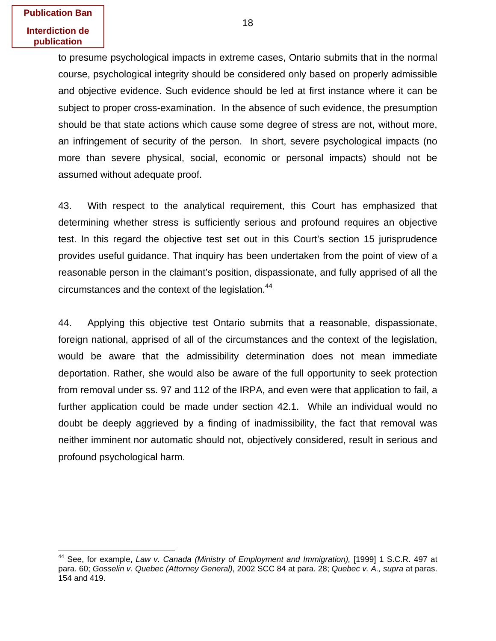to presume psychological impacts in extreme cases, Ontario submits that in the normal course, psychological integrity should be considered only based on properly admissible and objective evidence. Such evidence should be led at first instance where it can be subject to proper cross-examination. In the absence of such evidence, the presumption should be that state actions which cause some degree of stress are not, without more, an infringement of security of the person. In short, severe psychological impacts (no more than severe physical, social, economic or personal impacts) should not be assumed without adequate proof.

43. With respect to the analytical requirement, this Court has emphasized that determining whether stress is sufficiently serious and profound requires an objective test. In this regard the objective test set out in this Court's section 15 jurisprudence provides useful guidance. That inquiry has been undertaken from the point of view of a reasonable person in the claimant's position, dispassionate, and fully apprised of all the circumstances and the context of the legislation.<sup>44</sup>

44. Applying this objective test Ontario submits that a reasonable, dispassionate, foreign national, apprised of all of the circumstances and the context of the legislation, would be aware that the admissibility determination does not mean immediate deportation. Rather, she would also be aware of the full opportunity to seek protection from removal under ss. 97 and 112 of the IRPA, and even were that application to fail, a further application could be made under section 42.1. While an individual would no doubt be deeply aggrieved by a finding of inadmissibility, the fact that removal was neither imminent nor automatic should not, objectively considered, result in serious and profound psychological harm.

 $\overline{a}$ <sup>44</sup> See, for example, *Law v. Canada (Ministry of Employment and Immigration)*, [1999] 1 S.C.R. 497 at para. 60; *Gosselin v. Quebec (Attorney General)*, 2002 SCC 84 at para. 28; *Quebec v. A., supra* at paras. 154 and 419.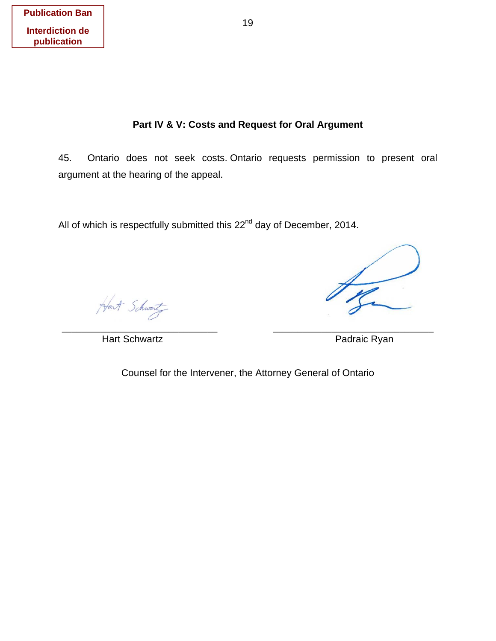**Part IV & V: Costs and Request for Oral Argument** 

45. Ontario does not seek costs. Ontario requests permission to present oral argument at the hearing of the appeal.

All of which is respectfully submitted this 22<sup>nd</sup> day of December, 2014.

Hart Schwart

Hart Schwartz **Padraic Ryan** 

Counsel for the Intervener, the Attorney General of Ontario

\_\_\_\_\_\_\_\_\_\_\_\_\_\_\_\_\_\_\_\_\_\_\_\_\_\_\_\_\_\_\_\_ \_\_\_\_\_\_\_\_\_\_\_\_\_\_\_\_\_\_\_\_\_\_\_\_\_\_\_\_\_\_\_\_\_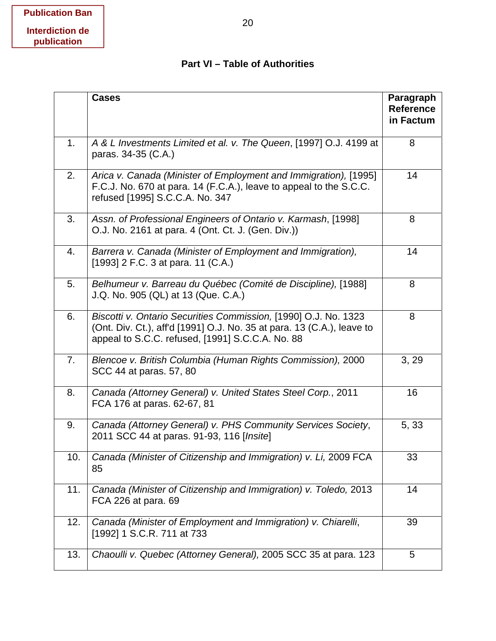| <b>Publication Ban</b> |  |
|------------------------|--|
|------------------------|--|

# **Part VI – Table of Authorities**

|     | <b>Cases</b>                                                                                                                                                                                  | Paragraph<br><b>Reference</b><br>in Factum |
|-----|-----------------------------------------------------------------------------------------------------------------------------------------------------------------------------------------------|--------------------------------------------|
| 1.  | A & L Investments Limited et al. v. The Queen, [1997] O.J. 4199 at<br>paras. 34-35 (C.A.)                                                                                                     | 8                                          |
| 2.  | Arica v. Canada (Minister of Employment and Immigration), [1995]<br>F.C.J. No. 670 at para. 14 (F.C.A.), leave to appeal to the S.C.C.<br>refused [1995] S.C.C.A. No. 347                     | 14                                         |
| 3.  | Assn. of Professional Engineers of Ontario v. Karmash, [1998]<br>O.J. No. 2161 at para. 4 (Ont. Ct. J. (Gen. Div.))                                                                           | 8                                          |
| 4.  | Barrera v. Canada (Minister of Employment and Immigration),<br>[1993] 2 F.C. 3 at para. 11 (C.A.)                                                                                             | 14                                         |
| 5.  | Belhumeur v. Barreau du Québec (Comité de Discipline), [1988]<br>J.Q. No. 905 (QL) at 13 (Que. C.A.)                                                                                          | 8                                          |
| 6.  | Biscotti v. Ontario Securities Commission, [1990] O.J. No. 1323<br>(Ont. Div. Ct.), aff'd [1991] O.J. No. 35 at para. 13 (C.A.), leave to<br>appeal to S.C.C. refused, [1991] S.C.C.A. No. 88 | 8                                          |
| 7.  | Blencoe v. British Columbia (Human Rights Commission), 2000<br>SCC 44 at paras. 57, 80                                                                                                        | 3, 29                                      |
| 8.  | Canada (Attorney General) v. United States Steel Corp., 2011<br>FCA 176 at paras. 62-67, 81                                                                                                   | 16                                         |
| 9.  | Canada (Attorney General) v. PHS Community Services Society,<br>2011 SCC 44 at paras. 91-93, 116 [Insite]                                                                                     | 5, 33                                      |
| 10. | Canada (Minister of Citizenship and Immigration) v. Li, 2009 FCA<br>85                                                                                                                        | 33                                         |
| 11. | Canada (Minister of Citizenship and Immigration) v. Toledo, 2013<br>FCA 226 at para. 69                                                                                                       | 14                                         |
| 12. | Canada (Minister of Employment and Immigration) v. Chiarelli,<br>[1992] 1 S.C.R. 711 at 733                                                                                                   | 39                                         |
| 13. | Chaoulli v. Quebec (Attorney General), 2005 SCC 35 at para. 123                                                                                                                               | 5                                          |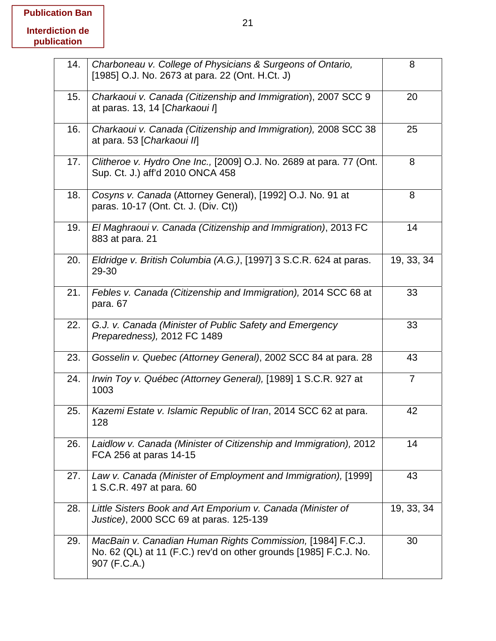|  | <b>Publication Ban</b> |  |
|--|------------------------|--|
|--|------------------------|--|

| 14. | Charboneau v. College of Physicians & Surgeons of Ontario,<br>[1985] O.J. No. 2673 at para. 22 (Ont. H.Ct. J)                                   | 8              |
|-----|-------------------------------------------------------------------------------------------------------------------------------------------------|----------------|
| 15. | Charkaoui v. Canada (Citizenship and Immigration), 2007 SCC 9<br>at paras. 13, 14 [Charkaoui I]                                                 | 20             |
| 16. | Charkaoui v. Canada (Citizenship and Immigration), 2008 SCC 38<br>at para. 53 [Charkaoui II]                                                    | 25             |
| 17. | Clitheroe v. Hydro One Inc., [2009] O.J. No. 2689 at para. 77 (Ont.<br>Sup. Ct. J.) aff'd 2010 ONCA 458                                         | 8              |
| 18. | Cosyns v. Canada (Attorney General), [1992] O.J. No. 91 at<br>paras. 10-17 (Ont. Ct. J. (Div. Ct))                                              | 8              |
| 19. | El Maghraoui v. Canada (Citizenship and Immigration), 2013 FC<br>883 at para. 21                                                                | 14             |
| 20. | Eldridge v. British Columbia (A.G.), [1997] 3 S.C.R. 624 at paras.<br>29-30                                                                     | 19, 33, 34     |
| 21. | Febles v. Canada (Citizenship and Immigration), 2014 SCC 68 at<br>para. 67                                                                      | 33             |
| 22. | G.J. v. Canada (Minister of Public Safety and Emergency<br>Preparedness), 2012 FC 1489                                                          | 33             |
| 23. | Gosselin v. Quebec (Attorney General), 2002 SCC 84 at para. 28                                                                                  | 43             |
| 24. | Irwin Toy v. Québec (Attorney General), [1989] 1 S.C.R. 927 at<br>1003                                                                          | $\overline{7}$ |
| 25. | Kazemi Estate v. Islamic Republic of Iran, 2014 SCC 62 at para.<br>128                                                                          | 42             |
| 26. | Laidlow v. Canada (Minister of Citizenship and Immigration), 2012<br>FCA 256 at paras 14-15                                                     | 14             |
| 27. | Law v. Canada (Minister of Employment and Immigration), [1999]<br>1 S.C.R. 497 at para. 60                                                      | 43             |
| 28. | Little Sisters Book and Art Emporium v. Canada (Minister of<br>Justice), 2000 SCC 69 at paras. 125-139                                          | 19, 33, 34     |
| 29. | MacBain v. Canadian Human Rights Commission, [1984] F.C.J.<br>No. 62 (QL) at 11 (F.C.) rev'd on other grounds [1985] F.C.J. No.<br>907 (F.C.A.) | 30             |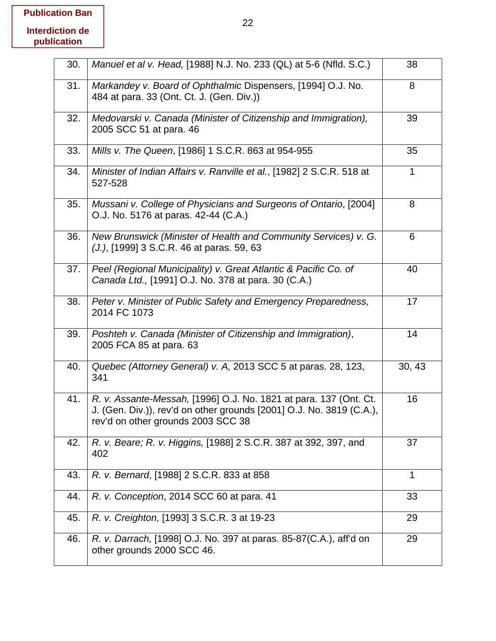|  | <b>Publication Ban</b> |  |
|--|------------------------|--|
|--|------------------------|--|

| 30. | Manuel et al v. Head, [1988] N.J. No. 233 (QL) at 5-6 (Nfld. S.C.)                                                                                                              | 38     |
|-----|---------------------------------------------------------------------------------------------------------------------------------------------------------------------------------|--------|
| 31. | Markandey v. Board of Ophthalmic Dispensers, [1994] O.J. No.<br>484 at para. 33 (Ont. Ct. J. (Gen. Div.))                                                                       | 8      |
| 32. | Medovarski v. Canada (Minister of Citizenship and Immigration),<br>2005 SCC 51 at para. 46                                                                                      | 39     |
| 33. | Mills v. The Queen, [1986] 1 S.C.R. 863 at 954-955                                                                                                                              | 35     |
| 34. | Minister of Indian Affairs v. Ranville et al., [1982] 2 S.C.R. 518 at<br>527-528                                                                                                | 1      |
| 35. | Mussani v. College of Physicians and Surgeons of Ontario, [2004]<br>O.J. No. 5176 at paras. 42-44 (C.A.)                                                                        | 8      |
| 36. | New Brunswick (Minister of Health and Community Services) v. G.<br>(J.), [1999] 3 S.C.R. 46 at paras. 59, 63                                                                    | 6      |
| 37. | Peel (Regional Municipality) v. Great Atlantic & Pacific Co. of<br>Canada Ltd., [1991] O.J. No. 378 at para. 30 (C.A.)                                                          | 40     |
| 38. | Peter v. Minister of Public Safety and Emergency Preparedness,<br>2014 FC 1073                                                                                                  | 17     |
| 39. | Poshteh v. Canada (Minister of Citizenship and Immigration),<br>2005 FCA 85 at para. 63                                                                                         | 14     |
| 40. | Quebec (Attorney General) v. A, 2013 SCC 5 at paras. 28, 123,<br>341                                                                                                            | 30, 43 |
| 41. | R. v. Assante-Messah, [1996] O.J. No. 1821 at para. 137 (Ont. Ct.<br>J. (Gen. Div.)), rev'd on other grounds [2001] O.J. No. 3819 (C.A.),<br>rev'd on other grounds 2003 SCC 38 | 16     |
| 42. | R. v. Beare; R. v. Higgins, [1988] 2 S.C.R. 387 at 392, 397, and<br>402                                                                                                         | 37     |
| 43. | R. v. Bernard, [1988] 2 S.C.R. 833 at 858                                                                                                                                       | 1      |
| 44. | R. v. Conception, 2014 SCC 60 at para. 41                                                                                                                                       | 33     |
| 45. | R. v. Creighton, [1993] 3 S.C.R. 3 at 19-23                                                                                                                                     | 29     |
| 46. | R. v. Darrach, [1998] O.J. No. 397 at paras. 85-87(C.A.), aff'd on<br>other grounds 2000 SCC 46.                                                                                | 29     |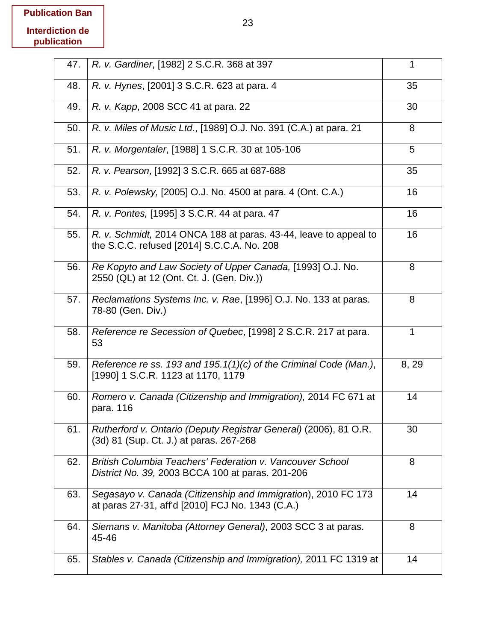# **Publication Ban**

**Interdiction de publication**

| 47. | R. v. Gardiner, [1982] 2 S.C.R. 368 at 397                                                                           | 1            |
|-----|----------------------------------------------------------------------------------------------------------------------|--------------|
| 48. | R. v. Hynes, [2001] 3 S.C.R. 623 at para. 4                                                                          | 35           |
| 49. | R. v. Kapp, 2008 SCC 41 at para. 22                                                                                  | 30           |
| 50. | R. v. Miles of Music Ltd., [1989] O.J. No. 391 (C.A.) at para. 21                                                    | 8            |
| 51. | R. v. Morgentaler, [1988] 1 S.C.R. 30 at 105-106                                                                     | 5            |
| 52. | R. v. Pearson, [1992] 3 S.C.R. 665 at 687-688                                                                        | 35           |
| 53. | R. v. Polewsky, [2005] O.J. No. 4500 at para. 4 (Ont. C.A.)                                                          | 16           |
| 54. | R. v. Pontes, [1995] 3 S.C.R. 44 at para. 47                                                                         | 16           |
| 55. | R. v. Schmidt, 2014 ONCA 188 at paras. 43-44, leave to appeal to<br>the S.C.C. refused [2014] S.C.C.A. No. 208       | 16           |
| 56. | Re Kopyto and Law Society of Upper Canada, [1993] O.J. No.<br>2550 (QL) at 12 (Ont. Ct. J. (Gen. Div.))              | 8            |
| 57. | Reclamations Systems Inc. v. Rae, [1996] O.J. No. 133 at paras.<br>78-80 (Gen. Div.)                                 | 8            |
| 58. | Reference re Secession of Quebec, [1998] 2 S.C.R. 217 at para.<br>53                                                 | $\mathbf{1}$ |
| 59. | Reference re ss. 193 and 195.1(1)(c) of the Criminal Code (Man.),<br>[1990] 1 S.C.R. 1123 at 1170, 1179              | 8, 29        |
| 60. | Romero v. Canada (Citizenship and Immigration), 2014 FC 671 at<br>para. 116                                          | 14           |
| 61. | Rutherford v. Ontario (Deputy Registrar General) (2006), 81 O.R.<br>(3d) 81 (Sup. Ct. J.) at paras. 267-268          | 30           |
| 62. | <b>British Columbia Teachers' Federation v. Vancouver School</b><br>District No. 39, 2003 BCCA 100 at paras. 201-206 | 8            |
| 63. | Segasayo v. Canada (Citizenship and Immigration), 2010 FC 173<br>at paras 27-31, aff'd [2010] FCJ No. 1343 (C.A.)    | 14           |
| 64. | Siemans v. Manitoba (Attorney General), 2003 SCC 3 at paras.<br>45-46                                                | 8            |
| 65. | Stables v. Canada (Citizenship and Immigration), 2011 FC 1319 at                                                     | 14           |
|     |                                                                                                                      |              |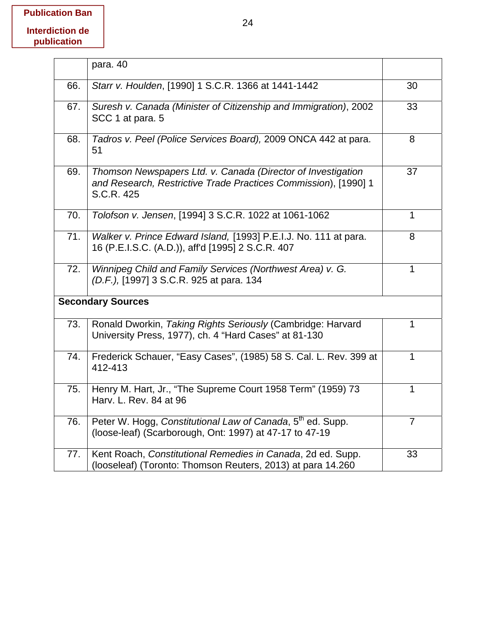|  | <b>Publication Ban</b> |  |
|--|------------------------|--|
|--|------------------------|--|

|     | para. 40                                                                                                                                      |                |  |
|-----|-----------------------------------------------------------------------------------------------------------------------------------------------|----------------|--|
| 66. | Starr v. Houlden, [1990] 1 S.C.R. 1366 at 1441-1442                                                                                           | 30             |  |
| 67. | Suresh v. Canada (Minister of Citizenship and Immigration), 2002<br>SCC 1 at para. 5                                                          |                |  |
| 68. | Tadros v. Peel (Police Services Board), 2009 ONCA 442 at para.<br>51                                                                          | 8              |  |
| 69. | Thomson Newspapers Ltd. v. Canada (Director of Investigation<br>and Research, Restrictive Trade Practices Commission), [1990] 1<br>S.C.R. 425 | 37             |  |
| 70. | Tolofson v. Jensen, [1994] 3 S.C.R. 1022 at 1061-1062                                                                                         | 1              |  |
| 71. | Walker v. Prince Edward Island, [1993] P.E.I.J. No. 111 at para.<br>16 (P.E.I.S.C. (A.D.)), aff'd [1995] 2 S.C.R. 407                         | 8              |  |
| 72. | Winnipeg Child and Family Services (Northwest Area) v. G.<br>(D.F.), [1997] 3 S.C.R. 925 at para. 134                                         | $\mathbf{1}$   |  |
|     | <b>Secondary Sources</b>                                                                                                                      |                |  |
| 73. | Ronald Dworkin, Taking Rights Seriously (Cambridge: Harvard<br>University Press, 1977), ch. 4 "Hard Cases" at 81-130                          | $\mathbf{1}$   |  |
| 74. | Frederick Schauer, "Easy Cases", (1985) 58 S. Cal. L. Rev. 399 at<br>412-413                                                                  | $\mathbf{1}$   |  |
| 75. | Henry M. Hart, Jr., "The Supreme Court 1958 Term" (1959) 73<br>Harv. L. Rev. 84 at 96                                                         | $\mathbf{1}$   |  |
| 76. | Peter W. Hogg, Constitutional Law of Canada, 5 <sup>th</sup> ed. Supp.<br>(loose-leaf) (Scarborough, Ont: 1997) at 47-17 to 47-19             | $\overline{7}$ |  |
| 77. | Kent Roach, Constitutional Remedies in Canada, 2d ed. Supp.<br>(looseleaf) (Toronto: Thomson Reuters, 2013) at para 14.260                    | 33             |  |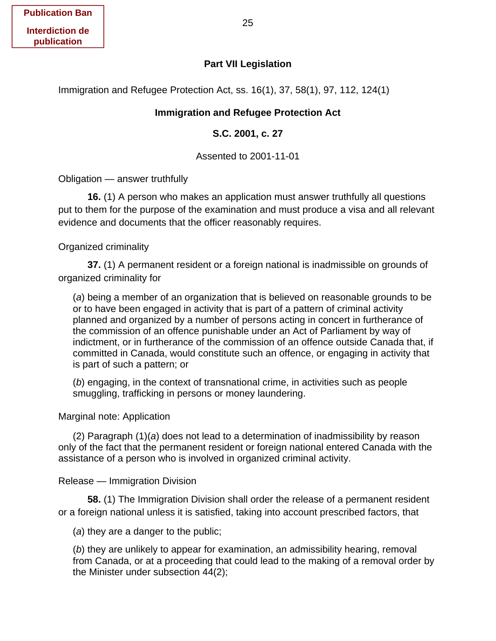## **Part VII Legislation**

Immigration and Refugee Protection Act, ss. 16(1), 37, 58(1), 97, 112, 124(1)

# **Immigration and Refugee Protection Act**

# **S.C. 2001, c. 27**

## Assented to 2001-11-01

Obligation — answer truthfully

**16.** (1) A person who makes an application must answer truthfully all questions put to them for the purpose of the examination and must produce a visa and all relevant evidence and documents that the officer reasonably requires.

## Organized criminality

**37.** (1) A permanent resident or a foreign national is inadmissible on grounds of organized criminality for

(*a*) being a member of an organization that is believed on reasonable grounds to be or to have been engaged in activity that is part of a pattern of criminal activity planned and organized by a number of persons acting in concert in furtherance of the commission of an offence punishable under an Act of Parliament by way of indictment, or in furtherance of the commission of an offence outside Canada that, if committed in Canada, would constitute such an offence, or engaging in activity that is part of such a pattern; or

(*b*) engaging, in the context of transnational crime, in activities such as people smuggling, trafficking in persons or money laundering.

## Marginal note: Application

(2) Paragraph (1)(*a*) does not lead to a determination of inadmissibility by reason only of the fact that the permanent resident or foreign national entered Canada with the assistance of a person who is involved in organized criminal activity.

Release — Immigration Division

**58.** (1) The Immigration Division shall order the release of a permanent resident or a foreign national unless it is satisfied, taking into account prescribed factors, that

(*a*) they are a danger to the public;

(*b*) they are unlikely to appear for examination, an admissibility hearing, removal from Canada, or at a proceeding that could lead to the making of a removal order by the Minister under subsection 44(2);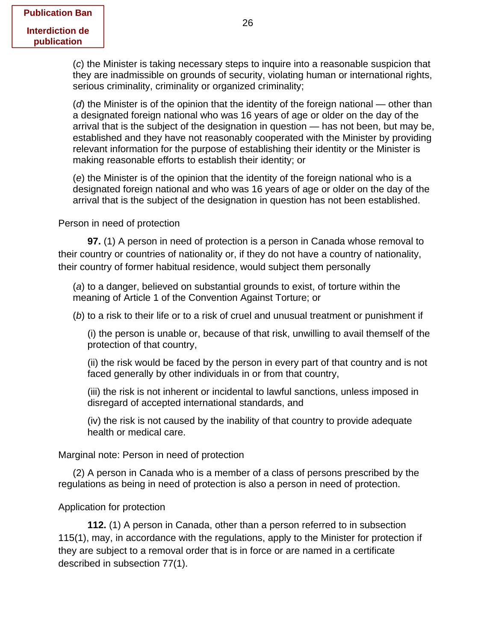(*c*) the Minister is taking necessary steps to inquire into a reasonable suspicion that they are inadmissible on grounds of security, violating human or international rights, serious criminality, criminality or organized criminality;

(*d*) the Minister is of the opinion that the identity of the foreign national — other than a designated foreign national who was 16 years of age or older on the day of the arrival that is the subject of the designation in question — has not been, but may be, established and they have not reasonably cooperated with the Minister by providing relevant information for the purpose of establishing their identity or the Minister is making reasonable efforts to establish their identity; or

(*e*) the Minister is of the opinion that the identity of the foreign national who is a designated foreign national and who was 16 years of age or older on the day of the arrival that is the subject of the designation in question has not been established.

Person in need of protection

**97.** (1) A person in need of protection is a person in Canada whose removal to their country or countries of nationality or, if they do not have a country of nationality, their country of former habitual residence, would subject them personally

(*a*) to a danger, believed on substantial grounds to exist, of torture within the meaning of Article 1 of the Convention Against Torture; or

(*b*) to a risk to their life or to a risk of cruel and unusual treatment or punishment if

(i) the person is unable or, because of that risk, unwilling to avail themself of the protection of that country,

(ii) the risk would be faced by the person in every part of that country and is not faced generally by other individuals in or from that country,

(iii) the risk is not inherent or incidental to lawful sanctions, unless imposed in disregard of accepted international standards, and

(iv) the risk is not caused by the inability of that country to provide adequate health or medical care.

Marginal note: Person in need of protection

(2) A person in Canada who is a member of a class of persons prescribed by the regulations as being in need of protection is also a person in need of protection.

## Application for protection

**112.** (1) A person in Canada, other than a person referred to in subsection 115(1), may, in accordance with the regulations, apply to the Minister for protection if they are subject to a removal order that is in force or are named in a certificate described in subsection 77(1).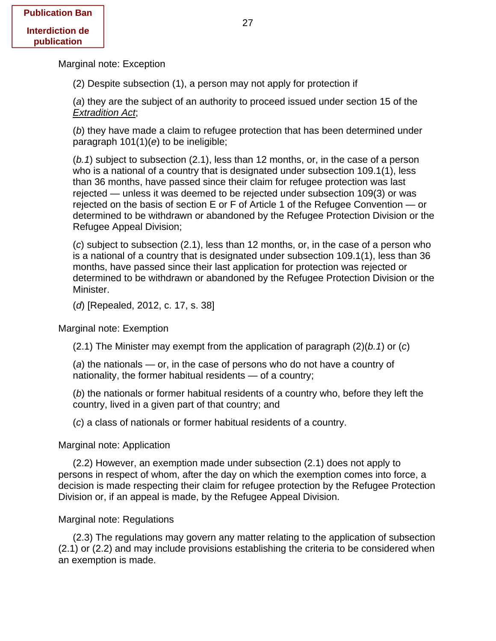Marginal note: Exception

(2) Despite subsection (1), a person may not apply for protection if

(*a*) they are the subject of an authority to proceed issued under section 15 of the *Extradition Act*;

(*b*) they have made a claim to refugee protection that has been determined under paragraph 101(1)(*e*) to be ineligible;

(*b.1*) subject to subsection (2.1), less than 12 months, or, in the case of a person who is a national of a country that is designated under subsection 109.1(1), less than 36 months, have passed since their claim for refugee protection was last rejected — unless it was deemed to be rejected under subsection 109(3) or was rejected on the basis of section E or F of Article 1 of the Refugee Convention — or determined to be withdrawn or abandoned by the Refugee Protection Division or the Refugee Appeal Division;

(*c*) subject to subsection (2.1), less than 12 months, or, in the case of a person who is a national of a country that is designated under subsection 109.1(1), less than 36 months, have passed since their last application for protection was rejected or determined to be withdrawn or abandoned by the Refugee Protection Division or the Minister.

(*d*) [Repealed, 2012, c. 17, s. 38]

Marginal note: Exemption

(2.1) The Minister may exempt from the application of paragraph (2)(*b.1*) or (*c*)

(*a*) the nationals — or, in the case of persons who do not have a country of nationality, the former habitual residents — of a country;

(*b*) the nationals or former habitual residents of a country who, before they left the country, lived in a given part of that country; and

(*c*) a class of nationals or former habitual residents of a country.

## Marginal note: Application

(2.2) However, an exemption made under subsection (2.1) does not apply to persons in respect of whom, after the day on which the exemption comes into force, a decision is made respecting their claim for refugee protection by the Refugee Protection Division or, if an appeal is made, by the Refugee Appeal Division.

# Marginal note: Regulations

(2.3) The regulations may govern any matter relating to the application of subsection (2.1) or (2.2) and may include provisions establishing the criteria to be considered when an exemption is made.